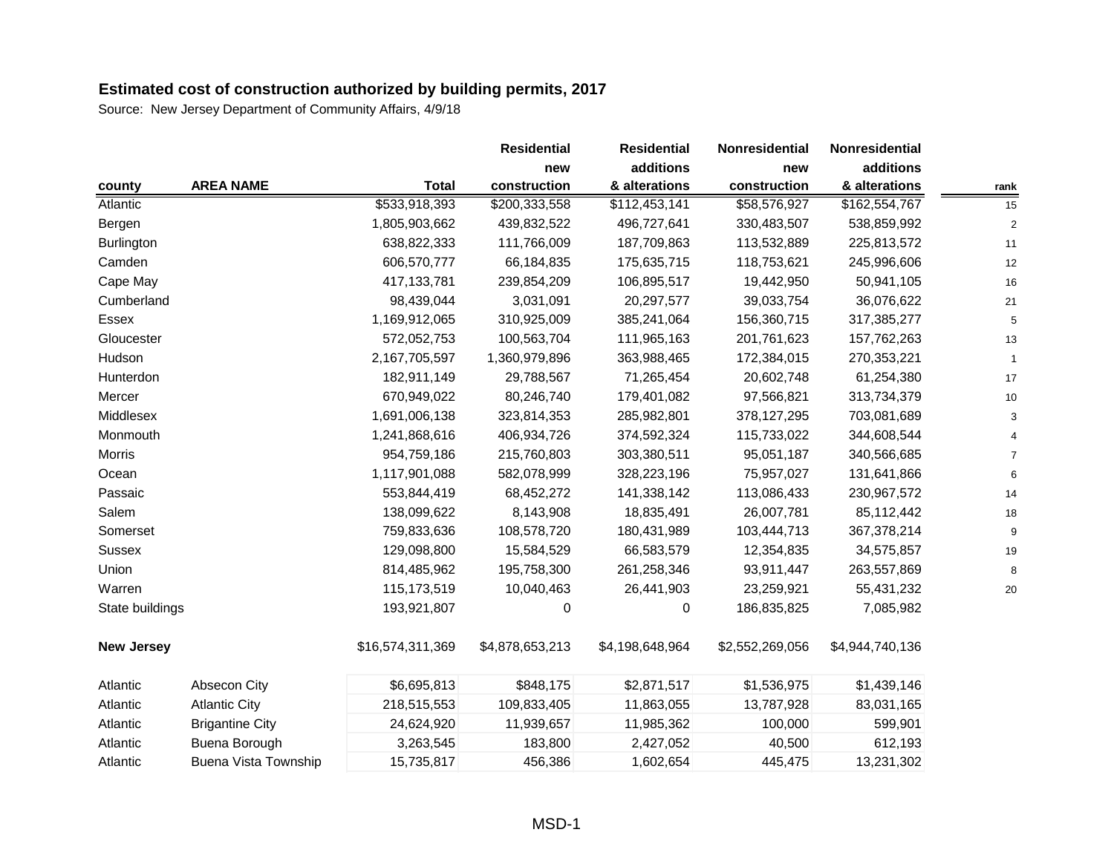|                   |                        |                  | <b>Residential</b> | <b>Residential</b> | Nonresidential  | <b>Nonresidential</b> |                |
|-------------------|------------------------|------------------|--------------------|--------------------|-----------------|-----------------------|----------------|
|                   |                        |                  | new                | additions          | new             | additions             |                |
| county            | <b>AREA NAME</b>       | <b>Total</b>     | construction       | & alterations      | construction    | & alterations         | rank           |
| Atlantic          |                        | \$533,918,393    | \$200,333,558      | \$112,453,141      | \$58,576,927    | \$162,554,767         | 15             |
| Bergen            |                        | 1,805,903,662    | 439,832,522        | 496,727,641        | 330,483,507     | 538,859,992           | $\overline{2}$ |
| Burlington        |                        | 638,822,333      | 111,766,009        | 187,709,863        | 113,532,889     | 225,813,572           | 11             |
| Camden            |                        | 606,570,777      | 66,184,835         | 175,635,715        | 118,753,621     | 245,996,606           | 12             |
| Cape May          |                        | 417, 133, 781    | 239,854,209        | 106,895,517        | 19,442,950      | 50,941,105            | 16             |
| Cumberland        |                        | 98,439,044       | 3,031,091          | 20,297,577         | 39,033,754      | 36,076,622            | 21             |
| Essex             |                        | 1,169,912,065    | 310,925,009        | 385,241,064        | 156,360,715     | 317,385,277           | 5              |
| Gloucester        |                        | 572,052,753      | 100,563,704        | 111,965,163        | 201,761,623     | 157,762,263           | 13             |
| Hudson            |                        | 2,167,705,597    | 1,360,979,896      | 363,988,465        | 172,384,015     | 270,353,221           | $\mathbf{1}$   |
| Hunterdon         |                        | 182,911,149      | 29,788,567         | 71,265,454         | 20,602,748      | 61,254,380            | 17             |
| Mercer            |                        | 670,949,022      | 80,246,740         | 179,401,082        | 97,566,821      | 313,734,379           | 10             |
| Middlesex         |                        | 1,691,006,138    | 323,814,353        | 285,982,801        | 378,127,295     | 703,081,689           | 3              |
| Monmouth          |                        | 1,241,868,616    | 406,934,726        | 374,592,324        | 115,733,022     | 344,608,544           |                |
| <b>Morris</b>     |                        | 954,759,186      | 215,760,803        | 303,380,511        | 95,051,187      | 340,566,685           |                |
| Ocean             |                        | 1,117,901,088    | 582,078,999        | 328,223,196        | 75,957,027      | 131,641,866           | 6              |
| Passaic           |                        | 553,844,419      | 68,452,272         | 141,338,142        | 113,086,433     | 230,967,572           | 14             |
| Salem             |                        | 138,099,622      | 8,143,908          | 18,835,491         | 26,007,781      | 85,112,442            | 18             |
| Somerset          |                        | 759,833,636      | 108,578,720        | 180,431,989        | 103,444,713     | 367,378,214           | 9              |
| Sussex            |                        | 129,098,800      | 15,584,529         | 66,583,579         | 12,354,835      | 34,575,857            | 19             |
| Union             |                        | 814,485,962      | 195,758,300        | 261,258,346        | 93,911,447      | 263,557,869           | 8              |
| Warren            |                        | 115,173,519      | 10,040,463         | 26,441,903         | 23,259,921      | 55,431,232            | 20             |
| State buildings   |                        | 193,921,807      | 0                  | 0                  | 186,835,825     | 7,085,982             |                |
| <b>New Jersey</b> |                        | \$16,574,311,369 | \$4,878,653,213    | \$4,198,648,964    | \$2,552,269,056 | \$4,944,740,136       |                |
| Atlantic          | Absecon City           | \$6,695,813      | \$848,175          | \$2,871,517        | \$1,536,975     | \$1,439,146           |                |
| Atlantic          | <b>Atlantic City</b>   | 218,515,553      | 109,833,405        | 11,863,055         | 13,787,928      | 83,031,165            |                |
| Atlantic          | <b>Brigantine City</b> | 24,624,920       | 11,939,657         | 11,985,362         | 100,000         | 599,901               |                |
| Atlantic          | Buena Borough          | 3,263,545        | 183,800            | 2,427,052          | 40,500          | 612,193               |                |
| Atlantic          | Buena Vista Township   | 15,735,817       | 456,386            | 1,602,654          | 445,475         | 13,231,302            |                |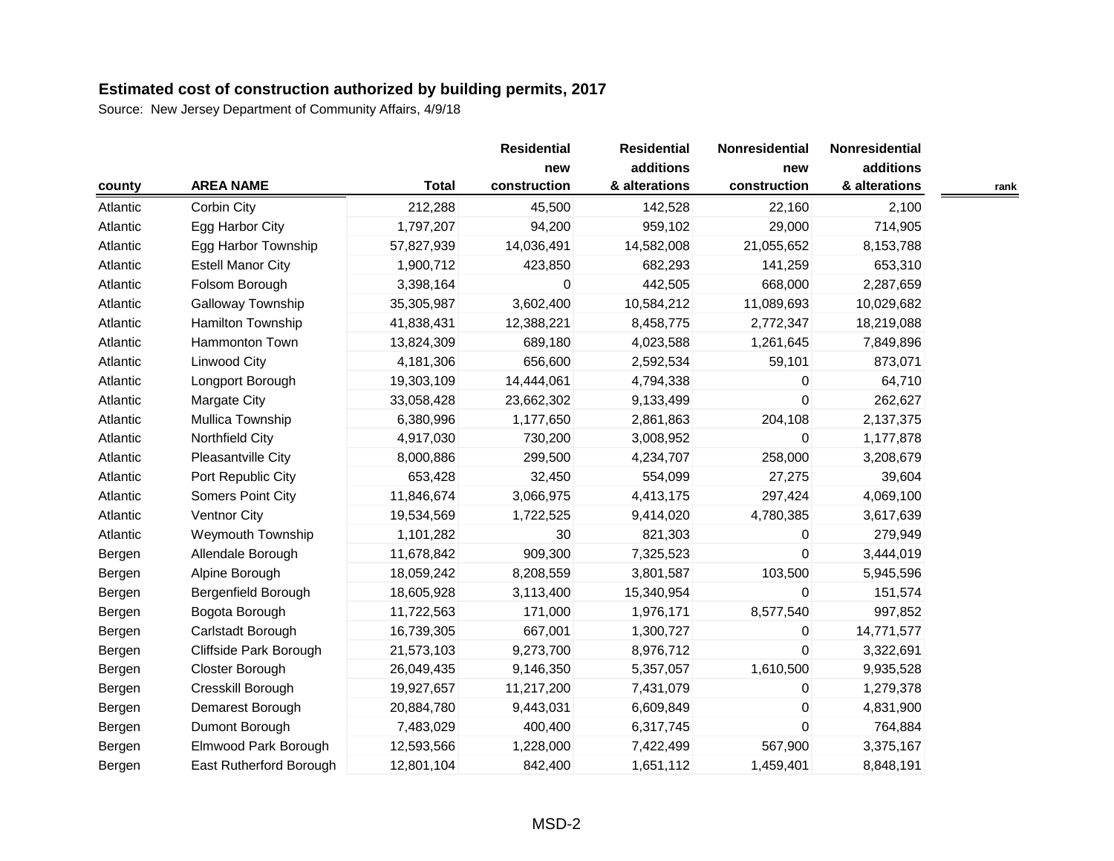|          |                          |              | <b>Residential</b><br>new | <b>Residential</b><br>additions | Nonresidential<br>new | Nonresidential<br>additions |      |
|----------|--------------------------|--------------|---------------------------|---------------------------------|-----------------------|-----------------------------|------|
| county   | <b>AREA NAME</b>         | <b>Total</b> | construction              | & alterations                   | construction          | & alterations               | rank |
| Atlantic | Corbin City              | 212,288      | 45,500                    | 142,528                         | 22,160                | 2,100                       |      |
| Atlantic | Egg Harbor City          | 1,797,207    | 94,200                    | 959,102                         | 29,000                | 714,905                     |      |
| Atlantic | Egg Harbor Township      | 57,827,939   | 14,036,491                | 14,582,008                      | 21,055,652            | 8,153,788                   |      |
| Atlantic | <b>Estell Manor City</b> | 1,900,712    | 423,850                   | 682,293                         | 141,259               | 653,310                     |      |
| Atlantic | Folsom Borough           | 3,398,164    | 0                         | 442,505                         | 668,000               | 2,287,659                   |      |
| Atlantic | Galloway Township        | 35,305,987   | 3,602,400                 | 10,584,212                      | 11,089,693            | 10,029,682                  |      |
| Atlantic | Hamilton Township        | 41,838,431   | 12,388,221                | 8,458,775                       | 2,772,347             | 18,219,088                  |      |
| Atlantic | Hammonton Town           | 13,824,309   | 689,180                   | 4,023,588                       | 1,261,645             | 7,849,896                   |      |
| Atlantic | <b>Linwood City</b>      | 4,181,306    | 656,600                   | 2,592,534                       | 59,101                | 873,071                     |      |
| Atlantic | Longport Borough         | 19,303,109   | 14,444,061                | 4,794,338                       | $\mathbf 0$           | 64,710                      |      |
| Atlantic | <b>Margate City</b>      | 33,058,428   | 23,662,302                | 9,133,499                       | $\mathbf 0$           | 262,627                     |      |
| Atlantic | Mullica Township         | 6,380,996    | 1,177,650                 | 2,861,863                       | 204,108               | 2,137,375                   |      |
| Atlantic | Northfield City          | 4,917,030    | 730,200                   | 3,008,952                       | 0                     | 1,177,878                   |      |
| Atlantic | Pleasantville City       | 8,000,886    | 299,500                   | 4,234,707                       | 258,000               | 3,208,679                   |      |
| Atlantic | Port Republic City       | 653,428      | 32,450                    | 554,099                         | 27,275                | 39,604                      |      |
| Atlantic | Somers Point City        | 11,846,674   | 3,066,975                 | 4,413,175                       | 297,424               | 4,069,100                   |      |
| Atlantic | <b>Ventnor City</b>      | 19,534,569   | 1,722,525                 | 9,414,020                       | 4,780,385             | 3,617,639                   |      |
| Atlantic | Weymouth Township        | 1,101,282    | 30                        | 821,303                         | 0                     | 279,949                     |      |
| Bergen   | Allendale Borough        | 11,678,842   | 909,300                   | 7,325,523                       | $\Omega$              | 3,444,019                   |      |
| Bergen   | Alpine Borough           | 18,059,242   | 8,208,559                 | 3,801,587                       | 103,500               | 5,945,596                   |      |
| Bergen   | Bergenfield Borough      | 18,605,928   | 3,113,400                 | 15,340,954                      | $\Omega$              | 151,574                     |      |
| Bergen   | Bogota Borough           | 11,722,563   | 171,000                   | 1,976,171                       | 8,577,540             | 997,852                     |      |
| Bergen   | Carlstadt Borough        | 16,739,305   | 667,001                   | 1,300,727                       | 0                     | 14,771,577                  |      |
| Bergen   | Cliffside Park Borough   | 21,573,103   | 9,273,700                 | 8,976,712                       | 0                     | 3,322,691                   |      |
| Bergen   | Closter Borough          | 26,049,435   | 9,146,350                 | 5,357,057                       | 1,610,500             | 9,935,528                   |      |
| Bergen   | Cresskill Borough        | 19,927,657   | 11,217,200                | 7,431,079                       | $\mathbf 0$           | 1,279,378                   |      |
| Bergen   | Demarest Borough         | 20,884,780   | 9,443,031                 | 6,609,849                       | 0                     | 4,831,900                   |      |
| Bergen   | Dumont Borough           | 7,483,029    | 400,400                   | 6,317,745                       | $\Omega$              | 764,884                     |      |
| Bergen   | Elmwood Park Borough     | 12,593,566   | 1,228,000                 | 7,422,499                       | 567,900               | 3,375,167                   |      |
| Bergen   | East Rutherford Borough  | 12,801,104   | 842,400                   | 1,651,112                       | 1,459,401             | 8,848,191                   |      |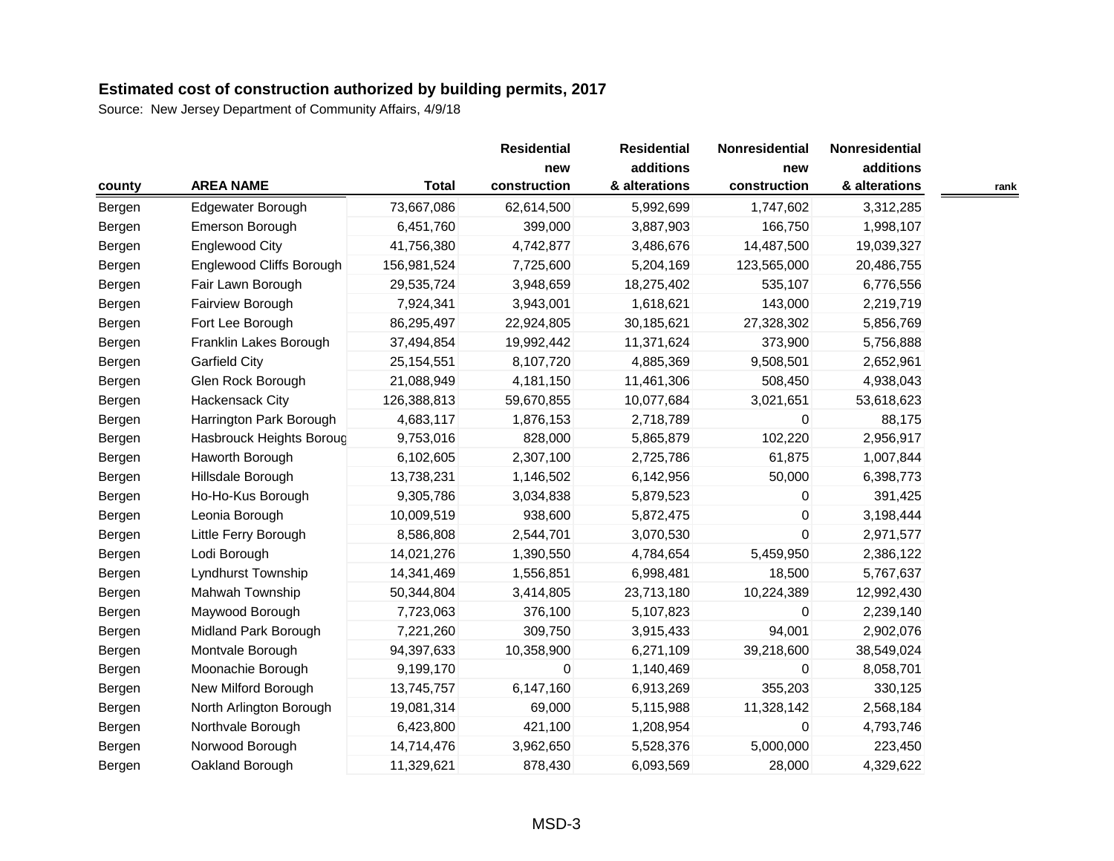| county           | <b>AREA NAME</b>         | <b>Total</b> | <b>Residential</b><br>new<br>construction | <b>Residential</b><br>additions<br>& alterations | Nonresidential<br>new<br>construction | Nonresidential<br>additions<br>& alterations |      |
|------------------|--------------------------|--------------|-------------------------------------------|--------------------------------------------------|---------------------------------------|----------------------------------------------|------|
| Bergen           | Edgewater Borough        | 73,667,086   | 62,614,500                                | 5,992,699                                        | 1,747,602                             | 3,312,285                                    | rank |
| Bergen           | Emerson Borough          | 6,451,760    | 399,000                                   | 3,887,903                                        | 166,750                               | 1,998,107                                    |      |
| Bergen           | <b>Englewood City</b>    | 41,756,380   | 4,742,877                                 | 3,486,676                                        | 14,487,500                            | 19,039,327                                   |      |
| Bergen           | Englewood Cliffs Borough | 156,981,524  | 7,725,600                                 | 5,204,169                                        | 123,565,000                           | 20,486,755                                   |      |
|                  | Fair Lawn Borough        | 29,535,724   | 3,948,659                                 | 18,275,402                                       | 535,107                               | 6,776,556                                    |      |
| Bergen<br>Bergen | Fairview Borough         | 7,924,341    | 3,943,001                                 | 1,618,621                                        | 143,000                               | 2,219,719                                    |      |
|                  | Fort Lee Borough         | 86,295,497   | 22,924,805                                | 30,185,621                                       | 27,328,302                            | 5,856,769                                    |      |
| Bergen           | Franklin Lakes Borough   | 37,494,854   | 19,992,442                                | 11,371,624                                       | 373,900                               | 5,756,888                                    |      |
| Bergen           |                          |              |                                           |                                                  |                                       |                                              |      |
| Bergen           | <b>Garfield City</b>     | 25, 154, 551 | 8,107,720                                 | 4,885,369                                        | 9,508,501                             | 2,652,961                                    |      |
| Bergen           | Glen Rock Borough        | 21,088,949   | 4,181,150                                 | 11,461,306                                       | 508,450                               | 4,938,043                                    |      |
| Bergen           | Hackensack City          | 126,388,813  | 59,670,855                                | 10,077,684                                       | 3,021,651                             | 53,618,623                                   |      |
| Bergen           | Harrington Park Borough  | 4,683,117    | 1,876,153                                 | 2,718,789                                        | 0                                     | 88,175                                       |      |
| Bergen           | Hasbrouck Heights Boroug | 9,753,016    | 828,000                                   | 5,865,879                                        | 102,220                               | 2,956,917                                    |      |
| Bergen           | Haworth Borough          | 6,102,605    | 2,307,100                                 | 2,725,786                                        | 61,875                                | 1,007,844                                    |      |
| Bergen           | Hillsdale Borough        | 13,738,231   | 1,146,502                                 | 6,142,956                                        | 50,000                                | 6,398,773                                    |      |
| Bergen           | Ho-Ho-Kus Borough        | 9,305,786    | 3,034,838                                 | 5,879,523                                        | 0                                     | 391,425                                      |      |
| Bergen           | Leonia Borough           | 10,009,519   | 938,600                                   | 5,872,475                                        | $\mathbf 0$                           | 3,198,444                                    |      |
| Bergen           | Little Ferry Borough     | 8,586,808    | 2,544,701                                 | 3,070,530                                        | $\Omega$                              | 2,971,577                                    |      |
| Bergen           | Lodi Borough             | 14,021,276   | 1,390,550                                 | 4,784,654                                        | 5,459,950                             | 2,386,122                                    |      |
| Bergen           | Lyndhurst Township       | 14,341,469   | 1,556,851                                 | 6,998,481                                        | 18,500                                | 5,767,637                                    |      |
| Bergen           | Mahwah Township          | 50,344,804   | 3,414,805                                 | 23,713,180                                       | 10,224,389                            | 12,992,430                                   |      |
| Bergen           | Maywood Borough          | 7,723,063    | 376,100                                   | 5,107,823                                        | 0                                     | 2,239,140                                    |      |
| Bergen           | Midland Park Borough     | 7,221,260    | 309,750                                   | 3,915,433                                        | 94,001                                | 2,902,076                                    |      |
| Bergen           | Montvale Borough         | 94,397,633   | 10,358,900                                | 6,271,109                                        | 39,218,600                            | 38,549,024                                   |      |
| Bergen           | Moonachie Borough        | 9,199,170    | 0                                         | 1,140,469                                        | $\mathbf 0$                           | 8,058,701                                    |      |
| Bergen           | New Milford Borough      | 13,745,757   | 6,147,160                                 | 6,913,269                                        | 355,203                               | 330,125                                      |      |
| Bergen           | North Arlington Borough  | 19,081,314   | 69,000                                    | 5,115,988                                        | 11,328,142                            | 2,568,184                                    |      |
| Bergen           | Northvale Borough        | 6,423,800    | 421,100                                   | 1,208,954                                        | $\mathbf 0$                           | 4,793,746                                    |      |
| Bergen           | Norwood Borough          | 14,714,476   | 3,962,650                                 | 5,528,376                                        | 5,000,000                             | 223,450                                      |      |
| Bergen           | Oakland Borough          | 11,329,621   | 878,430                                   | 6,093,569                                        | 28,000                                | 4,329,622                                    |      |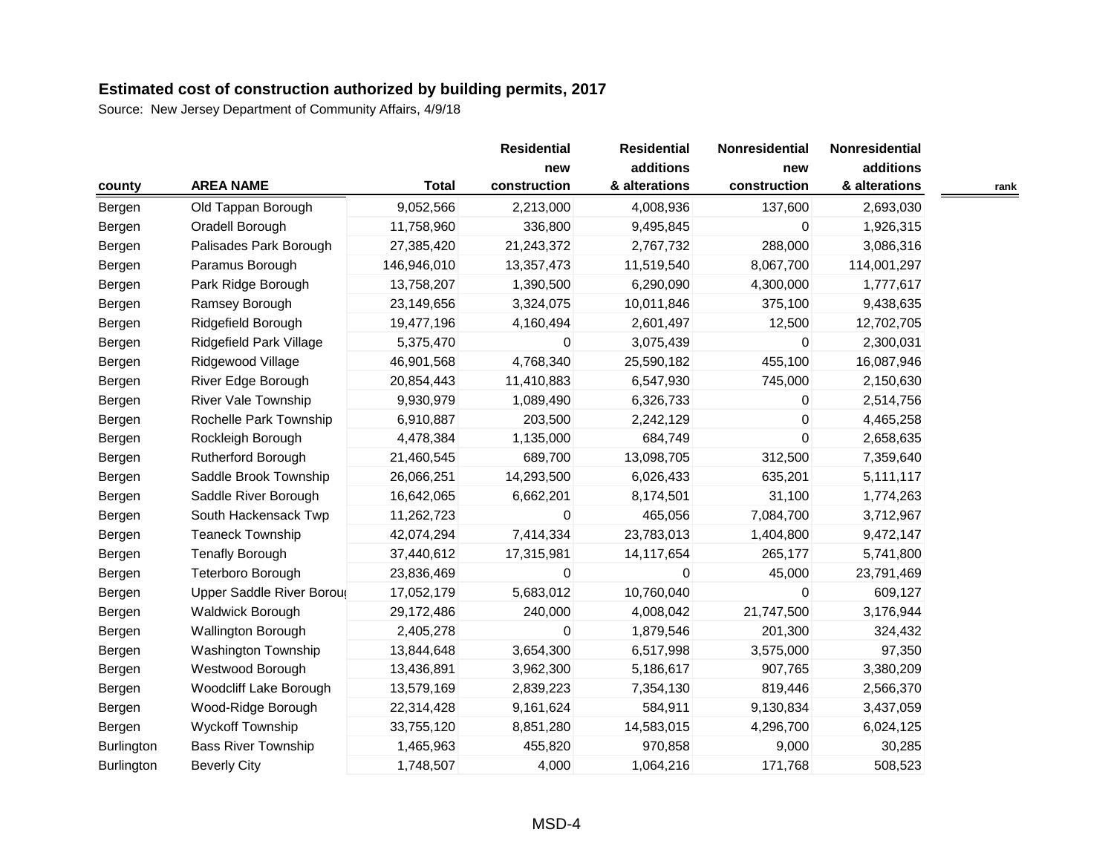|                   |                            |              | <b>Residential</b>  | <b>Residential</b>         | Nonresidential      | Nonresidential             |      |
|-------------------|----------------------------|--------------|---------------------|----------------------------|---------------------|----------------------------|------|
| county            | <b>AREA NAME</b>           | <b>Total</b> | new<br>construction | additions<br>& alterations | new<br>construction | additions<br>& alterations | rank |
| Bergen            | Old Tappan Borough         | 9,052,566    | 2,213,000           | 4,008,936                  | 137,600             | 2,693,030                  |      |
| Bergen            | Oradell Borough            | 11,758,960   | 336,800             | 9,495,845                  | 0                   | 1,926,315                  |      |
| Bergen            | Palisades Park Borough     | 27,385,420   | 21,243,372          | 2,767,732                  | 288,000             | 3,086,316                  |      |
| Bergen            | Paramus Borough            | 146,946,010  | 13,357,473          | 11,519,540                 | 8,067,700           | 114,001,297                |      |
| Bergen            | Park Ridge Borough         | 13,758,207   | 1,390,500           | 6,290,090                  | 4,300,000           | 1,777,617                  |      |
| Bergen            | Ramsey Borough             | 23,149,656   | 3,324,075           | 10,011,846                 | 375,100             | 9,438,635                  |      |
| Bergen            | Ridgefield Borough         | 19,477,196   | 4,160,494           | 2,601,497                  | 12,500              | 12,702,705                 |      |
| Bergen            | Ridgefield Park Village    | 5,375,470    | 0                   | 3,075,439                  | 0                   | 2,300,031                  |      |
| Bergen            | Ridgewood Village          | 46,901,568   | 4,768,340           | 25,590,182                 | 455,100             | 16,087,946                 |      |
| Bergen            | River Edge Borough         | 20,854,443   | 11,410,883          | 6,547,930                  | 745,000             | 2,150,630                  |      |
| Bergen            | <b>River Vale Township</b> | 9,930,979    | 1,089,490           | 6,326,733                  | $\mathbf{0}$        | 2,514,756                  |      |
| Bergen            | Rochelle Park Township     | 6,910,887    | 203,500             | 2,242,129                  | 0                   | 4,465,258                  |      |
| Bergen            | Rockleigh Borough          | 4,478,384    | 1,135,000           | 684,749                    | $\Omega$            | 2,658,635                  |      |
| Bergen            | Rutherford Borough         | 21,460,545   | 689,700             | 13,098,705                 | 312,500             | 7,359,640                  |      |
| Bergen            | Saddle Brook Township      | 26,066,251   | 14,293,500          | 6,026,433                  | 635,201             | 5,111,117                  |      |
| Bergen            | Saddle River Borough       | 16,642,065   | 6,662,201           | 8,174,501                  | 31,100              | 1,774,263                  |      |
| Bergen            | South Hackensack Twp       | 11,262,723   | 0                   | 465,056                    | 7,084,700           | 3,712,967                  |      |
| Bergen            | <b>Teaneck Township</b>    | 42,074,294   | 7,414,334           | 23,783,013                 | 1,404,800           | 9,472,147                  |      |
| Bergen            | <b>Tenafly Borough</b>     | 37,440,612   | 17,315,981          | 14,117,654                 | 265,177             | 5,741,800                  |      |
| Bergen            | <b>Teterboro Borough</b>   | 23,836,469   | 0                   | $\mathbf{0}$               | 45,000              | 23,791,469                 |      |
| Bergen            | Upper Saddle River Boroug  | 17,052,179   | 5,683,012           | 10,760,040                 | 0                   | 609,127                    |      |
| Bergen            | <b>Waldwick Borough</b>    | 29,172,486   | 240,000             | 4,008,042                  | 21,747,500          | 3,176,944                  |      |
| Bergen            | Wallington Borough         | 2,405,278    | 0                   | 1,879,546                  | 201,300             | 324,432                    |      |
| Bergen            | Washington Township        | 13,844,648   | 3,654,300           | 6,517,998                  | 3,575,000           | 97,350                     |      |
| Bergen            | Westwood Borough           | 13,436,891   | 3,962,300           | 5,186,617                  | 907,765             | 3,380,209                  |      |
| Bergen            | Woodcliff Lake Borough     | 13,579,169   | 2,839,223           | 7,354,130                  | 819,446             | 2,566,370                  |      |
| Bergen            | Wood-Ridge Borough         | 22,314,428   | 9,161,624           | 584,911                    | 9,130,834           | 3,437,059                  |      |
| Bergen            | <b>Wyckoff Township</b>    | 33,755,120   | 8,851,280           | 14,583,015                 | 4,296,700           | 6,024,125                  |      |
| Burlington        | <b>Bass River Township</b> | 1,465,963    | 455,820             | 970,858                    | 9,000               | 30,285                     |      |
| <b>Burlington</b> | <b>Beverly City</b>        | 1,748,507    | 4,000               | 1,064,216                  | 171,768             | 508,523                    |      |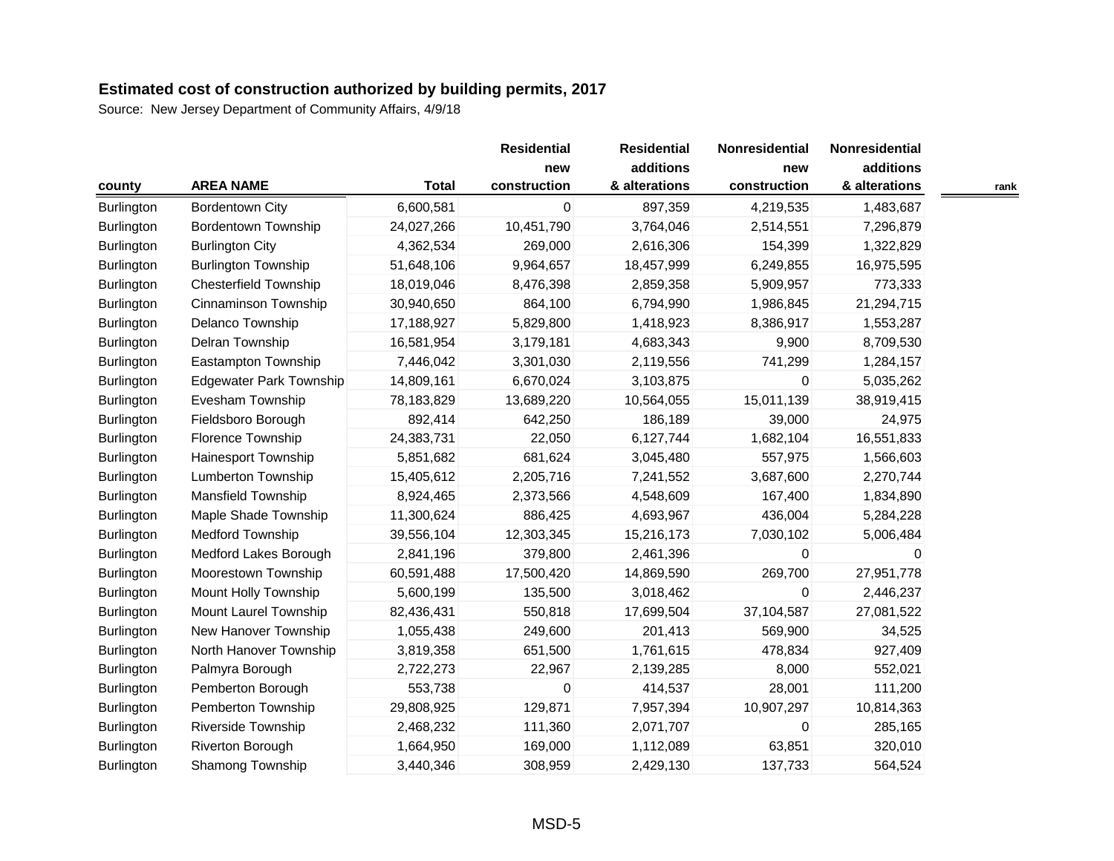| county            | <b>AREA NAME</b>               | <b>Total</b> | <b>Residential</b><br>new<br>construction | <b>Residential</b><br>additions<br>& alterations | Nonresidential<br>new<br>construction | Nonresidential<br>additions<br>& alterations | rank |
|-------------------|--------------------------------|--------------|-------------------------------------------|--------------------------------------------------|---------------------------------------|----------------------------------------------|------|
| <b>Burlington</b> | <b>Bordentown City</b>         | 6,600,581    | 0                                         | 897,359                                          | 4,219,535                             | 1,483,687                                    |      |
| Burlington        | <b>Bordentown Township</b>     | 24,027,266   | 10,451,790                                | 3,764,046                                        | 2,514,551                             | 7,296,879                                    |      |
| <b>Burlington</b> | <b>Burlington City</b>         | 4,362,534    | 269,000                                   | 2,616,306                                        | 154,399                               | 1,322,829                                    |      |
| Burlington        | <b>Burlington Township</b>     | 51,648,106   | 9,964,657                                 | 18,457,999                                       | 6,249,855                             | 16,975,595                                   |      |
| <b>Burlington</b> | <b>Chesterfield Township</b>   | 18,019,046   | 8,476,398                                 | 2,859,358                                        | 5,909,957                             | 773,333                                      |      |
| Burlington        | Cinnaminson Township           | 30,940,650   | 864,100                                   | 6,794,990                                        | 1,986,845                             | 21,294,715                                   |      |
| <b>Burlington</b> | Delanco Township               | 17,188,927   | 5,829,800                                 | 1,418,923                                        | 8,386,917                             | 1,553,287                                    |      |
| <b>Burlington</b> | Delran Township                | 16,581,954   | 3,179,181                                 | 4,683,343                                        | 9,900                                 | 8,709,530                                    |      |
| <b>Burlington</b> | Eastampton Township            | 7,446,042    | 3,301,030                                 | 2,119,556                                        | 741,299                               | 1,284,157                                    |      |
| Burlington        | <b>Edgewater Park Township</b> | 14,809,161   | 6,670,024                                 | 3,103,875                                        | $\mathbf 0$                           | 5,035,262                                    |      |
| Burlington        | Evesham Township               | 78,183,829   | 13,689,220                                | 10,564,055                                       | 15,011,139                            | 38,919,415                                   |      |
| <b>Burlington</b> | Fieldsboro Borough             | 892,414      | 642,250                                   | 186,189                                          | 39,000                                | 24,975                                       |      |
| Burlington        | Florence Township              | 24,383,731   | 22,050                                    | 6,127,744                                        | 1,682,104                             | 16,551,833                                   |      |
| <b>Burlington</b> | Hainesport Township            | 5,851,682    | 681,624                                   | 3,045,480                                        | 557,975                               | 1,566,603                                    |      |
| <b>Burlington</b> | <b>Lumberton Township</b>      | 15,405,612   | 2,205,716                                 | 7,241,552                                        | 3,687,600                             | 2,270,744                                    |      |
| Burlington        | <b>Mansfield Township</b>      | 8,924,465    | 2,373,566                                 | 4,548,609                                        | 167,400                               | 1,834,890                                    |      |
| Burlington        | Maple Shade Township           | 11,300,624   | 886,425                                   | 4,693,967                                        | 436,004                               | 5,284,228                                    |      |
| Burlington        | <b>Medford Township</b>        | 39,556,104   | 12,303,345                                | 15,216,173                                       | 7,030,102                             | 5,006,484                                    |      |
| Burlington        | Medford Lakes Borough          | 2,841,196    | 379,800                                   | 2,461,396                                        | $\Omega$                              | 0                                            |      |
| Burlington        | Moorestown Township            | 60,591,488   | 17,500,420                                | 14,869,590                                       | 269,700                               | 27,951,778                                   |      |
| Burlington        | Mount Holly Township           | 5,600,199    | 135,500                                   | 3,018,462                                        | $\mathbf 0$                           | 2,446,237                                    |      |
| Burlington        | Mount Laurel Township          | 82,436,431   | 550,818                                   | 17,699,504                                       | 37,104,587                            | 27,081,522                                   |      |
| <b>Burlington</b> | New Hanover Township           | 1,055,438    | 249,600                                   | 201,413                                          | 569,900                               | 34,525                                       |      |
| Burlington        | North Hanover Township         | 3,819,358    | 651,500                                   | 1,761,615                                        | 478,834                               | 927,409                                      |      |
| <b>Burlington</b> | Palmyra Borough                | 2,722,273    | 22,967                                    | 2,139,285                                        | 8,000                                 | 552,021                                      |      |
| Burlington        | Pemberton Borough              | 553,738      | 0                                         | 414,537                                          | 28,001                                | 111,200                                      |      |
| <b>Burlington</b> | Pemberton Township             | 29,808,925   | 129,871                                   | 7,957,394                                        | 10,907,297                            | 10,814,363                                   |      |
| Burlington        | Riverside Township             | 2,468,232    | 111,360                                   | 2,071,707                                        | 0                                     | 285,165                                      |      |
| <b>Burlington</b> | Riverton Borough               | 1,664,950    | 169,000                                   | 1,112,089                                        | 63,851                                | 320,010                                      |      |
| Burlington        | Shamong Township               | 3,440,346    | 308,959                                   | 2,429,130                                        | 137,733                               | 564,524                                      |      |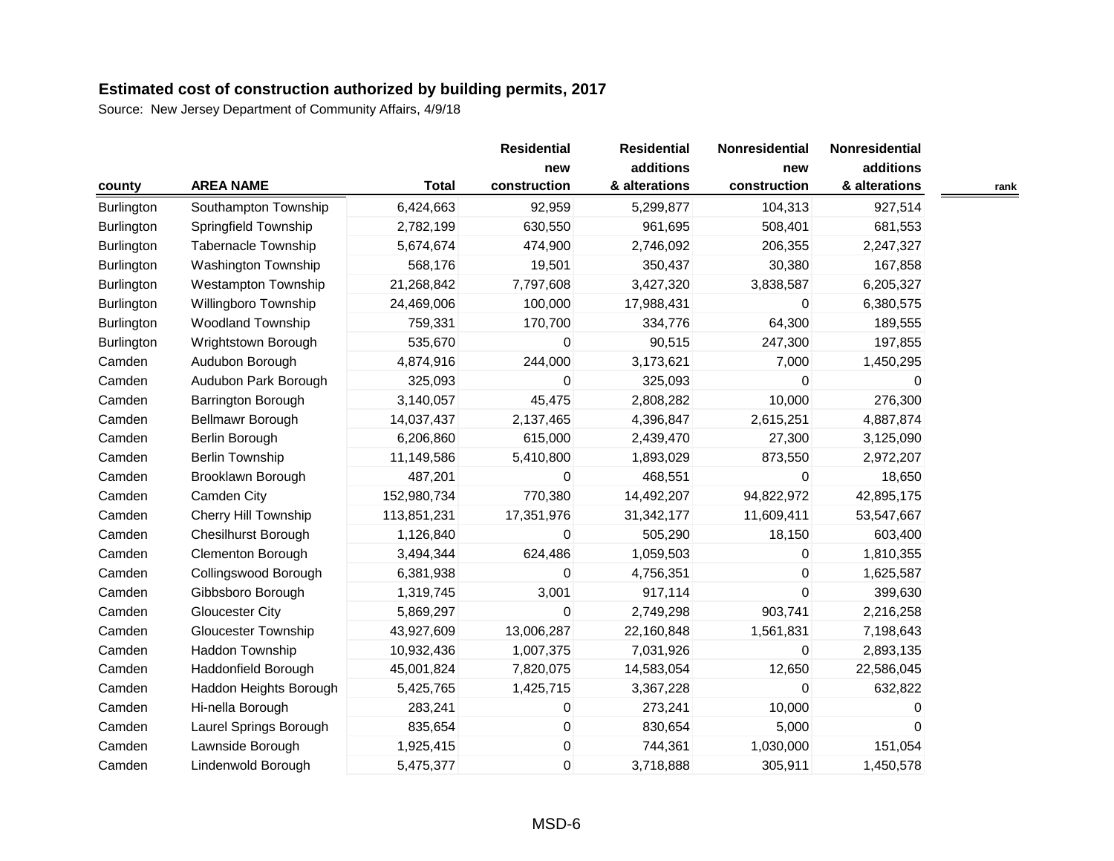|                   |                             |              | <b>Residential</b>  | <b>Residential</b>         | Nonresidential      | Nonresidential             |      |
|-------------------|-----------------------------|--------------|---------------------|----------------------------|---------------------|----------------------------|------|
| county            | <b>AREA NAME</b>            | <b>Total</b> | new<br>construction | additions<br>& alterations | new<br>construction | additions<br>& alterations | rank |
| Burlington        | Southampton Township        | 6,424,663    | 92,959              | 5,299,877                  | 104,313             | 927,514                    |      |
| Burlington        | Springfield Township        | 2,782,199    | 630,550             | 961,695                    | 508,401             | 681,553                    |      |
| <b>Burlington</b> | <b>Tabernacle Township</b>  | 5,674,674    | 474,900             | 2,746,092                  | 206,355             | 2,247,327                  |      |
| <b>Burlington</b> | Washington Township         | 568,176      | 19,501              | 350,437                    | 30,380              | 167,858                    |      |
| <b>Burlington</b> | <b>Westampton Township</b>  | 21,268,842   | 7,797,608           | 3,427,320                  | 3,838,587           | 6,205,327                  |      |
| Burlington        | Willingboro Township        | 24,469,006   | 100,000             | 17,988,431                 | $\Omega$            | 6,380,575                  |      |
| Burlington        | <b>Woodland Township</b>    | 759,331      | 170,700             | 334,776                    | 64,300              | 189,555                    |      |
| Burlington        | Wrightstown Borough         | 535,670      | 0                   | 90,515                     | 247,300             | 197,855                    |      |
| Camden            | Audubon Borough             | 4,874,916    | 244,000             | 3,173,621                  | 7,000               | 1,450,295                  |      |
| Camden            | Audubon Park Borough        | 325,093      | 0                   | 325,093                    | $\mathbf 0$         | 0                          |      |
| Camden            | Barrington Borough          | 3,140,057    | 45,475              | 2,808,282                  | 10,000              | 276,300                    |      |
| Camden            | Bellmawr Borough            | 14,037,437   | 2,137,465           | 4,396,847                  | 2,615,251           | 4,887,874                  |      |
| Camden            | Berlin Borough              | 6,206,860    | 615,000             | 2,439,470                  | 27,300              | 3,125,090                  |      |
| Camden            | <b>Berlin Township</b>      | 11,149,586   | 5,410,800           | 1,893,029                  | 873,550             | 2,972,207                  |      |
| Camden            | Brooklawn Borough           | 487,201      | 0                   | 468,551                    | 0                   | 18,650                     |      |
| Camden            | Camden City                 | 152,980,734  | 770,380             | 14,492,207                 | 94,822,972          | 42,895,175                 |      |
| Camden            | <b>Cherry Hill Township</b> | 113,851,231  | 17,351,976          | 31,342,177                 | 11,609,411          | 53,547,667                 |      |
| Camden            | <b>Chesilhurst Borough</b>  | 1,126,840    | 0                   | 505,290                    | 18,150              | 603,400                    |      |
| Camden            | <b>Clementon Borough</b>    | 3,494,344    | 624,486             | 1,059,503                  | 0                   | 1,810,355                  |      |
| Camden            | Collingswood Borough        | 6,381,938    | 0                   | 4,756,351                  | 0                   | 1,625,587                  |      |
| Camden            | Gibbsboro Borough           | 1,319,745    | 3,001               | 917,114                    | $\Omega$            | 399,630                    |      |
| Camden            | <b>Gloucester City</b>      | 5,869,297    | 0                   | 2,749,298                  | 903,741             | 2,216,258                  |      |
| Camden            | <b>Gloucester Township</b>  | 43,927,609   | 13,006,287          | 22,160,848                 | 1,561,831           | 7,198,643                  |      |
| Camden            | Haddon Township             | 10,932,436   | 1,007,375           | 7,031,926                  | $\mathbf 0$         | 2,893,135                  |      |
| Camden            | Haddonfield Borough         | 45,001,824   | 7,820,075           | 14,583,054                 | 12,650              | 22,586,045                 |      |
| Camden            | Haddon Heights Borough      | 5,425,765    | 1,425,715           | 3,367,228                  | $\Omega$            | 632,822                    |      |
| Camden            | Hi-nella Borough            | 283,241      | 0                   | 273,241                    | 10,000              | 0                          |      |
| Camden            | Laurel Springs Borough      | 835,654      | $\pmb{0}$           | 830,654                    | 5,000               | $\Omega$                   |      |
| Camden            | Lawnside Borough            | 1,925,415    | 0                   | 744,361                    | 1,030,000           | 151,054                    |      |
| Camden            | Lindenwold Borough          | 5,475,377    | $\mathbf 0$         | 3,718,888                  | 305,911             | 1,450,578                  |      |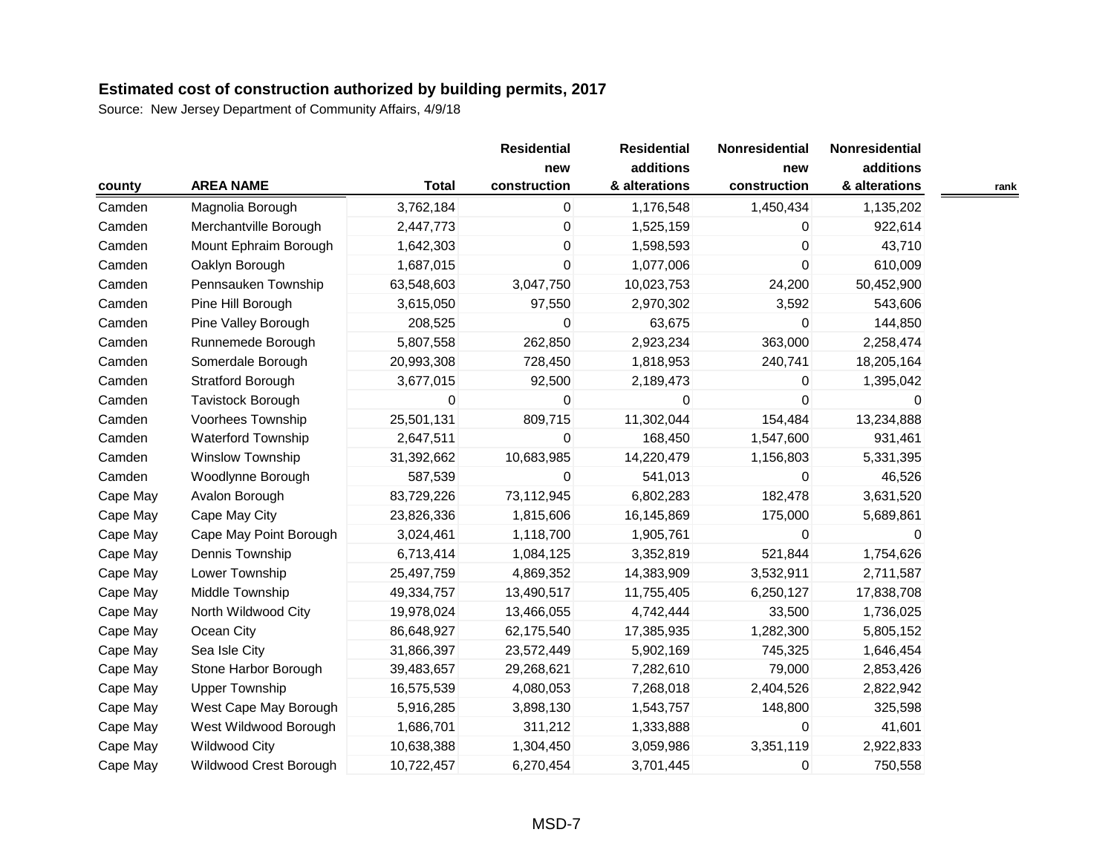| county   | <b>AREA NAME</b>          | <b>Total</b> | <b>Residential</b><br>new<br>construction | <b>Residential</b><br>additions<br>& alterations | Nonresidential<br>new<br>construction | Nonresidential<br>additions<br>& alterations | rank |
|----------|---------------------------|--------------|-------------------------------------------|--------------------------------------------------|---------------------------------------|----------------------------------------------|------|
| Camden   | Magnolia Borough          | 3,762,184    | $\pmb{0}$                                 | 1,176,548                                        | 1,450,434                             | 1,135,202                                    |      |
| Camden   | Merchantville Borough     | 2,447,773    | 0                                         | 1,525,159                                        | 0                                     | 922,614                                      |      |
| Camden   | Mount Ephraim Borough     | 1,642,303    | 0                                         | 1,598,593                                        | $\mathbf 0$                           | 43,710                                       |      |
| Camden   | Oaklyn Borough            | 1,687,015    | 0                                         | 1,077,006                                        | 0                                     | 610,009                                      |      |
| Camden   | Pennsauken Township       | 63,548,603   | 3,047,750                                 | 10,023,753                                       | 24,200                                | 50,452,900                                   |      |
| Camden   | Pine Hill Borough         | 3,615,050    | 97,550                                    | 2,970,302                                        | 3,592                                 | 543,606                                      |      |
| Camden   | Pine Valley Borough       | 208,525      | 0                                         | 63,675                                           | $\Omega$                              | 144,850                                      |      |
| Camden   | Runnemede Borough         | 5,807,558    | 262,850                                   | 2,923,234                                        | 363,000                               | 2,258,474                                    |      |
| Camden   | Somerdale Borough         | 20,993,308   | 728,450                                   | 1,818,953                                        | 240,741                               | 18,205,164                                   |      |
| Camden   | <b>Stratford Borough</b>  | 3,677,015    | 92,500                                    | 2,189,473                                        | 0                                     | 1,395,042                                    |      |
| Camden   | Tavistock Borough         | 0            | 0                                         | $\overline{0}$                                   | $\Omega$                              | 0                                            |      |
| Camden   | Voorhees Township         | 25,501,131   | 809,715                                   | 11,302,044                                       | 154,484                               | 13,234,888                                   |      |
| Camden   | <b>Waterford Township</b> | 2,647,511    | 0                                         | 168,450                                          | 1,547,600                             | 931,461                                      |      |
| Camden   | Winslow Township          | 31,392,662   | 10,683,985                                | 14,220,479                                       | 1,156,803                             | 5,331,395                                    |      |
| Camden   | Woodlynne Borough         | 587,539      | 0                                         | 541,013                                          | 0                                     | 46,526                                       |      |
| Cape May | Avalon Borough            | 83,729,226   | 73,112,945                                | 6,802,283                                        | 182,478                               | 3,631,520                                    |      |
| Cape May | Cape May City             | 23,826,336   | 1,815,606                                 | 16,145,869                                       | 175,000                               | 5,689,861                                    |      |
| Cape May | Cape May Point Borough    | 3,024,461    | 1,118,700                                 | 1,905,761                                        | $\Omega$                              | 0                                            |      |
| Cape May | Dennis Township           | 6,713,414    | 1,084,125                                 | 3,352,819                                        | 521,844                               | 1,754,626                                    |      |
| Cape May | Lower Township            | 25,497,759   | 4,869,352                                 | 14,383,909                                       | 3,532,911                             | 2,711,587                                    |      |
| Cape May | Middle Township           | 49,334,757   | 13,490,517                                | 11,755,405                                       | 6,250,127                             | 17,838,708                                   |      |
| Cape May | North Wildwood City       | 19,978,024   | 13,466,055                                | 4,742,444                                        | 33,500                                | 1,736,025                                    |      |
| Cape May | Ocean City                | 86,648,927   | 62,175,540                                | 17,385,935                                       | 1,282,300                             | 5,805,152                                    |      |
| Cape May | Sea Isle City             | 31,866,397   | 23,572,449                                | 5,902,169                                        | 745,325                               | 1,646,454                                    |      |
| Cape May | Stone Harbor Borough      | 39,483,657   | 29,268,621                                | 7,282,610                                        | 79,000                                | 2,853,426                                    |      |
| Cape May | <b>Upper Township</b>     | 16,575,539   | 4,080,053                                 | 7,268,018                                        | 2,404,526                             | 2,822,942                                    |      |
| Cape May | West Cape May Borough     | 5,916,285    | 3,898,130                                 | 1,543,757                                        | 148,800                               | 325,598                                      |      |
| Cape May | West Wildwood Borough     | 1,686,701    | 311,212                                   | 1,333,888                                        | $\mathbf 0$                           | 41,601                                       |      |
| Cape May | <b>Wildwood City</b>      | 10,638,388   | 1,304,450                                 | 3,059,986                                        | 3,351,119                             | 2,922,833                                    |      |
| Cape May | Wildwood Crest Borough    | 10,722,457   | 6,270,454                                 | 3,701,445                                        | $\mathbf 0$                           | 750,558                                      |      |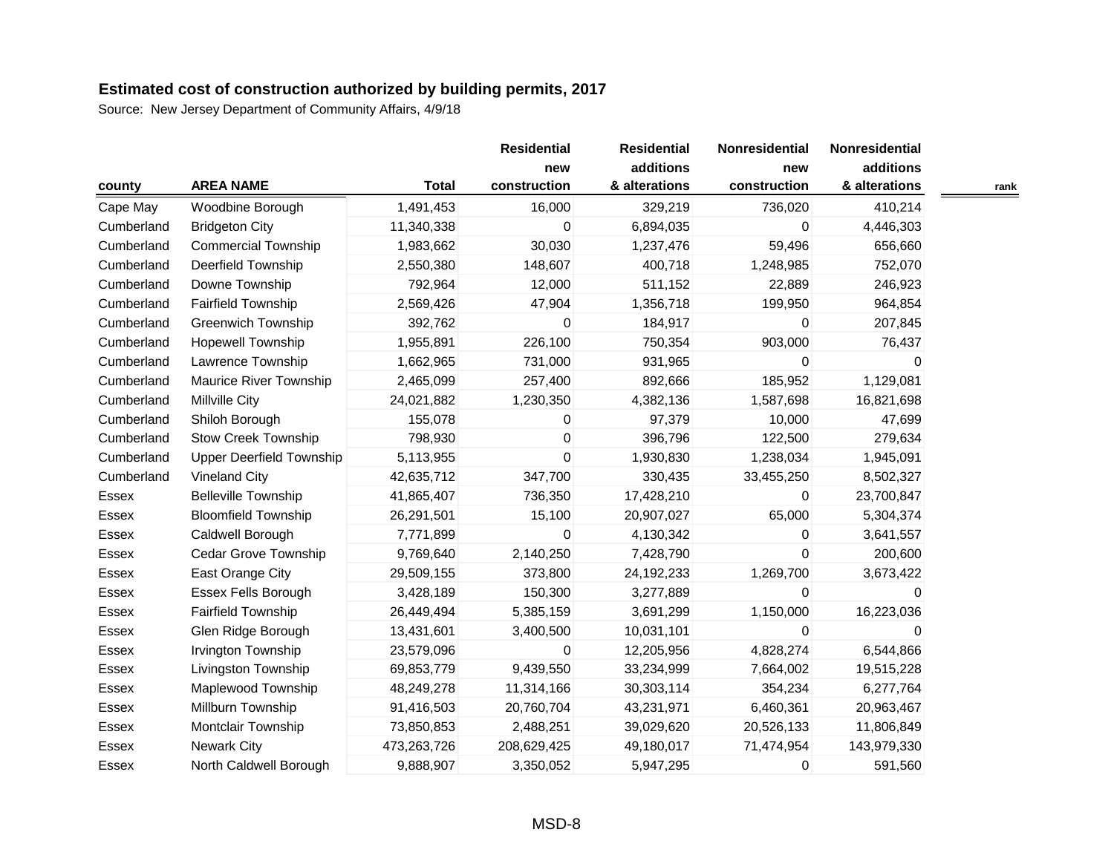|            |                                 |              | <b>Residential</b>  | <b>Residential</b><br>additions | Nonresidential      | Nonresidential<br>additions |      |
|------------|---------------------------------|--------------|---------------------|---------------------------------|---------------------|-----------------------------|------|
| county     | <b>AREA NAME</b>                | <b>Total</b> | new<br>construction | & alterations                   | new<br>construction | & alterations               | rank |
| Cape May   | Woodbine Borough                | 1,491,453    | 16,000              | 329,219                         | 736,020             | 410,214                     |      |
| Cumberland | <b>Bridgeton City</b>           | 11,340,338   | 0                   | 6,894,035                       | 0                   | 4,446,303                   |      |
| Cumberland | <b>Commercial Township</b>      | 1,983,662    | 30,030              | 1,237,476                       | 59,496              | 656,660                     |      |
| Cumberland | Deerfield Township              | 2,550,380    | 148,607             | 400,718                         | 1,248,985           | 752,070                     |      |
| Cumberland | Downe Township                  | 792,964      | 12,000              | 511,152                         | 22,889              | 246,923                     |      |
| Cumberland | <b>Fairfield Township</b>       | 2,569,426    | 47,904              | 1,356,718                       | 199,950             | 964,854                     |      |
| Cumberland | <b>Greenwich Township</b>       | 392,762      | 0                   | 184,917                         | $\Omega$            | 207,845                     |      |
| Cumberland | <b>Hopewell Township</b>        | 1,955,891    | 226,100             | 750,354                         | 903,000             | 76,437                      |      |
| Cumberland | Lawrence Township               | 1,662,965    | 731,000             | 931,965                         | 0                   | 0                           |      |
| Cumberland | Maurice River Township          | 2,465,099    | 257,400             | 892,666                         | 185,952             | 1,129,081                   |      |
| Cumberland | <b>Millville City</b>           | 24,021,882   | 1,230,350           | 4,382,136                       | 1,587,698           | 16,821,698                  |      |
| Cumberland | Shiloh Borough                  | 155,078      | 0                   | 97,379                          | 10,000              | 47,699                      |      |
| Cumberland | <b>Stow Creek Township</b>      | 798,930      | 0                   | 396,796                         | 122,500             | 279,634                     |      |
| Cumberland | <b>Upper Deerfield Township</b> | 5,113,955    | 0                   | 1,930,830                       | 1,238,034           | 1,945,091                   |      |
| Cumberland | <b>Vineland City</b>            | 42,635,712   | 347,700             | 330,435                         | 33,455,250          | 8,502,327                   |      |
| Essex      | <b>Belleville Township</b>      | 41,865,407   | 736,350             | 17,428,210                      | 0                   | 23,700,847                  |      |
| Essex      | <b>Bloomfield Township</b>      | 26,291,501   | 15,100              | 20,907,027                      | 65,000              | 5,304,374                   |      |
| Essex      | Caldwell Borough                | 7,771,899    | 0                   | 4,130,342                       | 0                   | 3,641,557                   |      |
| Essex      | Cedar Grove Township            | 9,769,640    | 2,140,250           | 7,428,790                       | $\Omega$            | 200,600                     |      |
| Essex      | East Orange City                | 29,509,155   | 373,800             | 24,192,233                      | 1,269,700           | 3,673,422                   |      |
| Essex      | Essex Fells Borough             | 3,428,189    | 150,300             | 3,277,889                       | $\Omega$            | U                           |      |
| Essex      | <b>Fairfield Township</b>       | 26,449,494   | 5,385,159           | 3,691,299                       | 1,150,000           | 16,223,036                  |      |
| Essex      | Glen Ridge Borough              | 13,431,601   | 3,400,500           | 10,031,101                      | 0                   | 0                           |      |
| Essex      | Irvington Township              | 23,579,096   | 0                   | 12,205,956                      | 4,828,274           | 6,544,866                   |      |
| Essex      | Livingston Township             | 69,853,779   | 9,439,550           | 33,234,999                      | 7,664,002           | 19,515,228                  |      |
| Essex      | Maplewood Township              | 48,249,278   | 11,314,166          | 30,303,114                      | 354,234             | 6,277,764                   |      |
| Essex      | Millburn Township               | 91,416,503   | 20,760,704          | 43,231,971                      | 6,460,361           | 20,963,467                  |      |
| Essex      | Montclair Township              | 73,850,853   | 2,488,251           | 39,029,620                      | 20,526,133          | 11,806,849                  |      |
| Essex      | <b>Newark City</b>              | 473,263,726  | 208,629,425         | 49,180,017                      | 71,474,954          | 143,979,330                 |      |
| Essex      | North Caldwell Borough          | 9,888,907    | 3,350,052           | 5,947,295                       | $\mathbf 0$         | 591,560                     |      |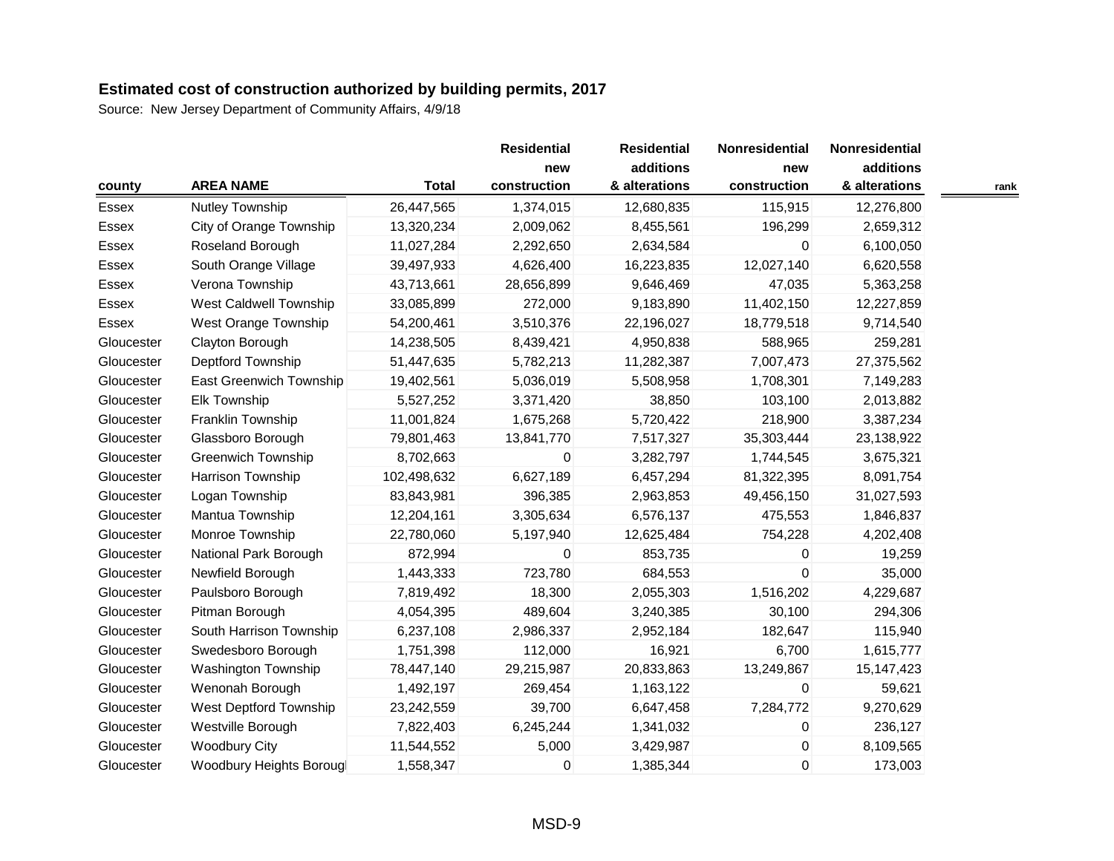|            |                               |              | <b>Residential</b> | <b>Residential</b> | Nonresidential | Nonresidential |      |
|------------|-------------------------------|--------------|--------------------|--------------------|----------------|----------------|------|
|            |                               |              | new                | additions          | new            | additions      |      |
| county     | <b>AREA NAME</b>              | <b>Total</b> | construction       | & alterations      | construction   | & alterations  | rank |
| Essex      | Nutley Township               | 26,447,565   | 1,374,015          | 12,680,835         | 115,915        | 12,276,800     |      |
| Essex      | City of Orange Township       | 13,320,234   | 2,009,062          | 8,455,561          | 196,299        | 2,659,312      |      |
| Essex      | Roseland Borough              | 11,027,284   | 2,292,650          | 2,634,584          | $\mathbf{0}$   | 6,100,050      |      |
| Essex      | South Orange Village          | 39,497,933   | 4,626,400          | 16,223,835         | 12,027,140     | 6,620,558      |      |
| Essex      | Verona Township               | 43,713,661   | 28,656,899         | 9,646,469          | 47,035         | 5,363,258      |      |
| Essex      | <b>West Caldwell Township</b> | 33,085,899   | 272,000            | 9,183,890          | 11,402,150     | 12,227,859     |      |
| Essex      | West Orange Township          | 54,200,461   | 3,510,376          | 22,196,027         | 18,779,518     | 9,714,540      |      |
| Gloucester | Clayton Borough               | 14,238,505   | 8,439,421          | 4,950,838          | 588,965        | 259,281        |      |
| Gloucester | Deptford Township             | 51,447,635   | 5,782,213          | 11,282,387         | 7,007,473      | 27,375,562     |      |
| Gloucester | East Greenwich Township       | 19,402,561   | 5,036,019          | 5,508,958          | 1,708,301      | 7,149,283      |      |
| Gloucester | Elk Township                  | 5,527,252    | 3,371,420          | 38,850             | 103,100        | 2,013,882      |      |
| Gloucester | Franklin Township             | 11,001,824   | 1,675,268          | 5,720,422          | 218,900        | 3,387,234      |      |
| Gloucester | Glassboro Borough             | 79,801,463   | 13,841,770         | 7,517,327          | 35,303,444     | 23,138,922     |      |
| Gloucester | <b>Greenwich Township</b>     | 8,702,663    | 0                  | 3,282,797          | 1,744,545      | 3,675,321      |      |
| Gloucester | Harrison Township             | 102,498,632  | 6,627,189          | 6,457,294          | 81,322,395     | 8,091,754      |      |
| Gloucester | Logan Township                | 83,843,981   | 396,385            | 2,963,853          | 49,456,150     | 31,027,593     |      |
| Gloucester | Mantua Township               | 12,204,161   | 3,305,634          | 6,576,137          | 475,553        | 1,846,837      |      |
| Gloucester | Monroe Township               | 22,780,060   | 5,197,940          | 12,625,484         | 754,228        | 4,202,408      |      |
| Gloucester | National Park Borough         | 872,994      | 0                  | 853,735            | 0              | 19,259         |      |
| Gloucester | Newfield Borough              | 1,443,333    | 723,780            | 684,553            | $\Omega$       | 35,000         |      |
| Gloucester | Paulsboro Borough             | 7,819,492    | 18,300             | 2,055,303          | 1,516,202      | 4,229,687      |      |
| Gloucester | Pitman Borough                | 4,054,395    | 489,604            | 3,240,385          | 30,100         | 294,306        |      |
| Gloucester | South Harrison Township       | 6,237,108    | 2,986,337          | 2,952,184          | 182,647        | 115,940        |      |
| Gloucester | Swedesboro Borough            | 1,751,398    | 112,000            | 16,921             | 6,700          | 1,615,777      |      |
| Gloucester | <b>Washington Township</b>    | 78,447,140   | 29,215,987         | 20,833,863         | 13,249,867     | 15, 147, 423   |      |
| Gloucester | Wenonah Borough               | 1,492,197    | 269,454            | 1,163,122          | $\Omega$       | 59,621         |      |
| Gloucester | West Deptford Township        | 23,242,559   | 39,700             | 6,647,458          | 7,284,772      | 9,270,629      |      |
| Gloucester | Westville Borough             | 7,822,403    | 6,245,244          | 1,341,032          | $\mathbf{0}$   | 236,127        |      |
| Gloucester | <b>Woodbury City</b>          | 11,544,552   | 5,000              | 3,429,987          | 0              | 8,109,565      |      |
| Gloucester | Woodbury Heights Borougl      | 1,558,347    | 0                  | 1,385,344          | $\mathbf 0$    | 173,003        |      |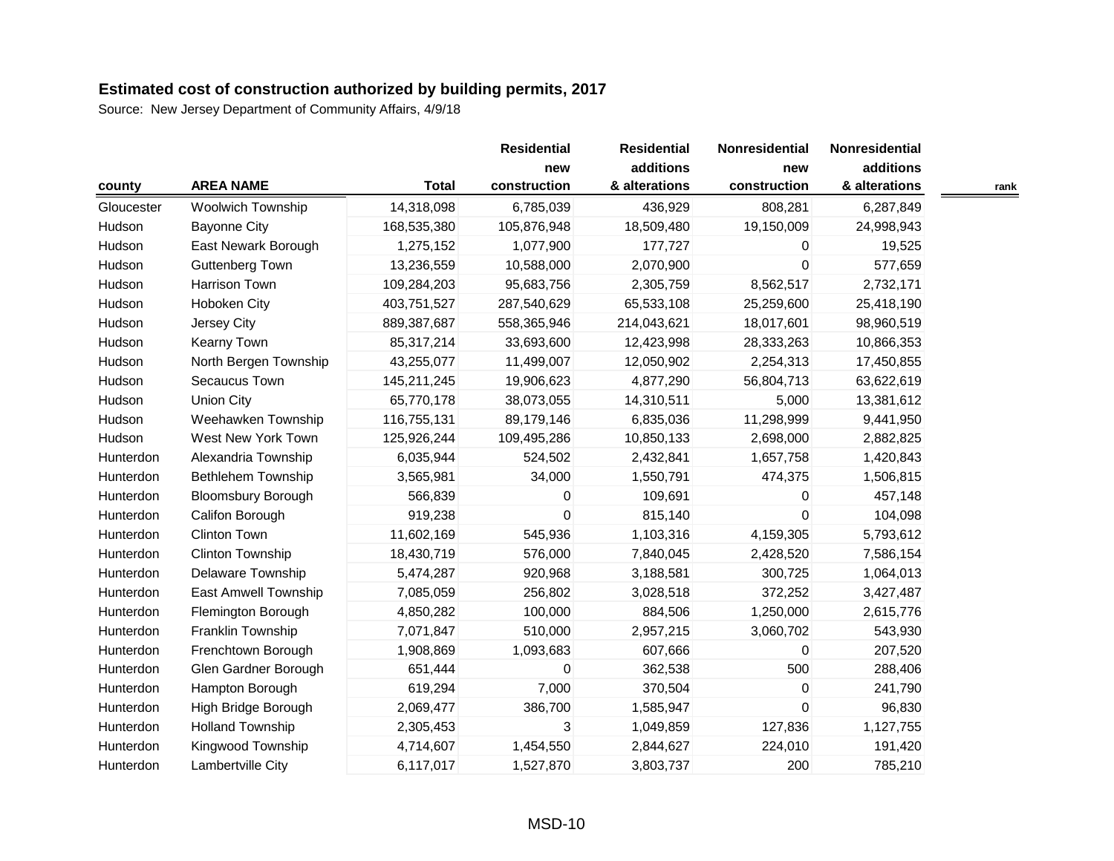|            |                           |              | <b>Residential</b> | <b>Residential</b> | Nonresidential | Nonresidential |  |
|------------|---------------------------|--------------|--------------------|--------------------|----------------|----------------|--|
|            |                           |              | new                | additions          | new            | additions      |  |
| county     | <b>AREA NAME</b>          | <b>Total</b> | construction       | & alterations      | construction   | & alterations  |  |
| Gloucester | Woolwich Township         | 14,318,098   | 6,785,039          | 436,929            | 808,281        | 6,287,849      |  |
| Hudson     | <b>Bayonne City</b>       | 168,535,380  | 105,876,948        | 18,509,480         | 19,150,009     | 24,998,943     |  |
| Hudson     | East Newark Borough       | 1,275,152    | 1,077,900          | 177,727            | $\mathbf{0}$   | 19,525         |  |
| Hudson     | <b>Guttenberg Town</b>    | 13,236,559   | 10,588,000         | 2,070,900          | $\mathbf 0$    | 577,659        |  |
| Hudson     | Harrison Town             | 109,284,203  | 95,683,756         | 2,305,759          | 8,562,517      | 2,732,171      |  |
| Hudson     | Hoboken City              | 403,751,527  | 287,540,629        | 65,533,108         | 25,259,600     | 25,418,190     |  |
| Hudson     | Jersey City               | 889,387,687  | 558,365,946        | 214,043,621        | 18,017,601     | 98,960,519     |  |
| Hudson     | Kearny Town               | 85,317,214   | 33,693,600         | 12,423,998         | 28,333,263     | 10,866,353     |  |
| Hudson     | North Bergen Township     | 43,255,077   | 11,499,007         | 12,050,902         | 2,254,313      | 17,450,855     |  |
| Hudson     | Secaucus Town             | 145,211,245  | 19,906,623         | 4,877,290          | 56,804,713     | 63,622,619     |  |
| Hudson     | <b>Union City</b>         | 65,770,178   | 38,073,055         | 14,310,511         | 5,000          | 13,381,612     |  |
| Hudson     | Weehawken Township        | 116,755,131  | 89,179,146         | 6,835,036          | 11,298,999     | 9,441,950      |  |
| Hudson     | West New York Town        | 125,926,244  | 109,495,286        | 10,850,133         | 2,698,000      | 2,882,825      |  |
| Hunterdon  | Alexandria Township       | 6,035,944    | 524,502            | 2,432,841          | 1,657,758      | 1,420,843      |  |
| Hunterdon  | Bethlehem Township        | 3,565,981    | 34,000             | 1,550,791          | 474,375        | 1,506,815      |  |
| Hunterdon  | <b>Bloomsbury Borough</b> | 566,839      | $\pmb{0}$          | 109,691            | 0              | 457,148        |  |
| Hunterdon  | Califon Borough           | 919,238      | $\mathbf 0$        | 815,140            | $\Omega$       | 104,098        |  |
| Hunterdon  | Clinton Town              | 11,602,169   | 545,936            | 1,103,316          | 4,159,305      | 5,793,612      |  |
| Hunterdon  | Clinton Township          | 18,430,719   | 576,000            | 7,840,045          | 2,428,520      | 7,586,154      |  |
| Hunterdon  | Delaware Township         | 5,474,287    | 920,968            | 3,188,581          | 300,725        | 1,064,013      |  |
| Hunterdon  | East Amwell Township      | 7,085,059    | 256,802            | 3,028,518          | 372,252        | 3,427,487      |  |
| Hunterdon  | Flemington Borough        | 4,850,282    | 100,000            | 884,506            | 1,250,000      | 2,615,776      |  |
| Hunterdon  | Franklin Township         | 7,071,847    | 510,000            | 2,957,215          | 3,060,702      | 543,930        |  |
| Hunterdon  | Frenchtown Borough        | 1,908,869    | 1,093,683          | 607,666            | $\pmb{0}$      | 207,520        |  |
| Hunterdon  | Glen Gardner Borough      | 651,444      | 0                  | 362,538            | 500            | 288,406        |  |
| Hunterdon  | Hampton Borough           | 619,294      | 7,000              | 370,504            | 0              | 241,790        |  |
| Hunterdon  | High Bridge Borough       | 2,069,477    | 386,700            | 1,585,947          | $\Omega$       | 96,830         |  |
| Hunterdon  | <b>Holland Township</b>   | 2,305,453    | 3                  | 1,049,859          | 127,836        | 1,127,755      |  |
| Hunterdon  | Kingwood Township         | 4,714,607    | 1,454,550          | 2,844,627          | 224,010        | 191,420        |  |
| Hunterdon  | Lambertville City         | 6,117,017    | 1,527,870          | 3,803,737          | 200            | 785,210        |  |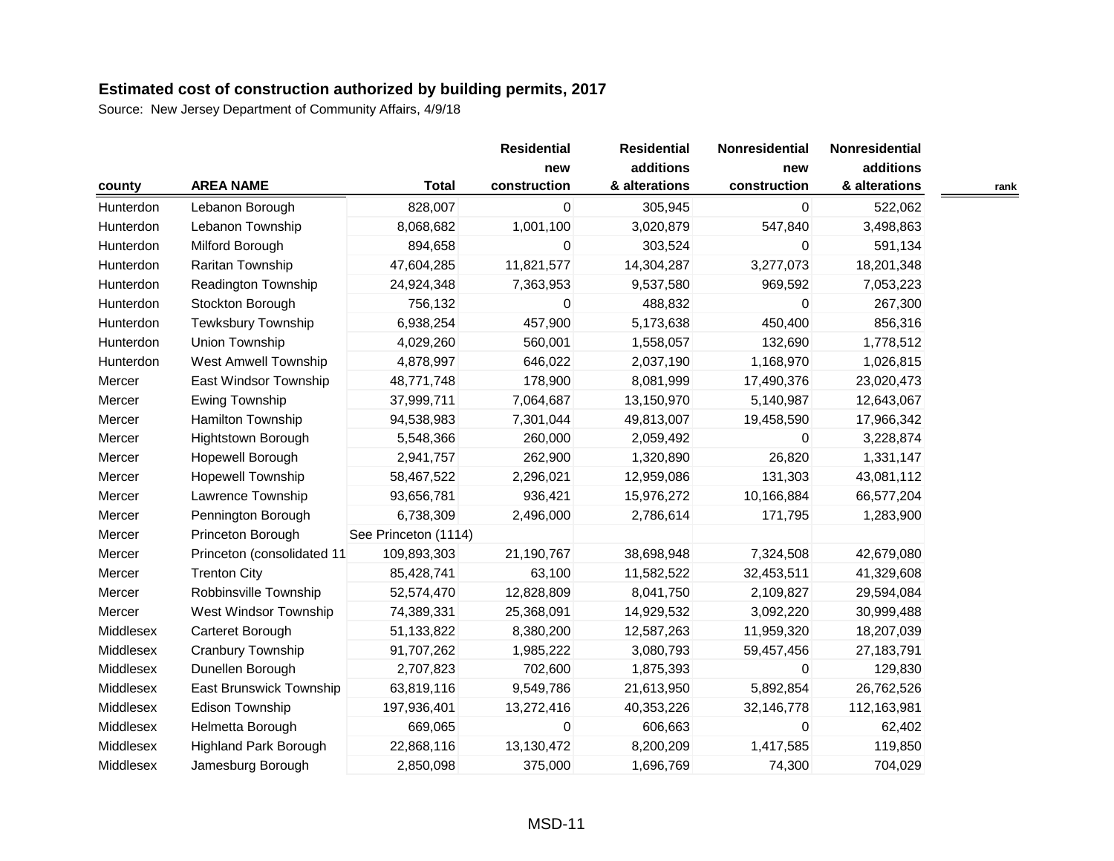|           |                              |                      | <b>Residential</b><br>new | <b>Residential</b><br>additions | Nonresidential<br>new | Nonresidential<br>additions |      |
|-----------|------------------------------|----------------------|---------------------------|---------------------------------|-----------------------|-----------------------------|------|
| county    | <b>AREA NAME</b>             | <b>Total</b>         | construction              | & alterations                   | construction          | & alterations               | rank |
| Hunterdon | Lebanon Borough              | 828,007              | 0                         | 305,945                         | 0                     | 522,062                     |      |
| Hunterdon | Lebanon Township             | 8,068,682            | 1,001,100                 | 3,020,879                       | 547,840               | 3,498,863                   |      |
| Hunterdon | Milford Borough              | 894,658              | 0                         | 303,524                         | 0                     | 591,134                     |      |
| Hunterdon | Raritan Township             | 47,604,285           | 11,821,577                | 14,304,287                      | 3,277,073             | 18,201,348                  |      |
| Hunterdon | Readington Township          | 24,924,348           | 7,363,953                 | 9,537,580                       | 969,592               | 7,053,223                   |      |
| Hunterdon | Stockton Borough             | 756,132              | 0                         | 488,832                         | $\Omega$              | 267,300                     |      |
| Hunterdon | <b>Tewksbury Township</b>    | 6,938,254            | 457,900                   | 5,173,638                       | 450,400               | 856,316                     |      |
| Hunterdon | Union Township               | 4,029,260            | 560,001                   | 1,558,057                       | 132,690               | 1,778,512                   |      |
| Hunterdon | <b>West Amwell Township</b>  | 4,878,997            | 646,022                   | 2,037,190                       | 1,168,970             | 1,026,815                   |      |
| Mercer    | East Windsor Township        | 48,771,748           | 178,900                   | 8,081,999                       | 17,490,376            | 23,020,473                  |      |
| Mercer    | Ewing Township               | 37,999,711           | 7,064,687                 | 13,150,970                      | 5,140,987             | 12,643,067                  |      |
| Mercer    | Hamilton Township            | 94,538,983           | 7,301,044                 | 49,813,007                      | 19,458,590            | 17,966,342                  |      |
| Mercer    | Hightstown Borough           | 5,548,366            | 260,000                   | 2,059,492                       | $\Omega$              | 3,228,874                   |      |
| Mercer    | Hopewell Borough             | 2,941,757            | 262,900                   | 1,320,890                       | 26,820                | 1,331,147                   |      |
| Mercer    | <b>Hopewell Township</b>     | 58,467,522           | 2,296,021                 | 12,959,086                      | 131,303               | 43,081,112                  |      |
| Mercer    | Lawrence Township            | 93,656,781           | 936,421                   | 15,976,272                      | 10,166,884            | 66,577,204                  |      |
| Mercer    | Pennington Borough           | 6,738,309            | 2,496,000                 | 2,786,614                       | 171,795               | 1,283,900                   |      |
| Mercer    | Princeton Borough            | See Princeton (1114) |                           |                                 |                       |                             |      |
| Mercer    | Princeton (consolidated 11   | 109,893,303          | 21,190,767                | 38,698,948                      | 7,324,508             | 42,679,080                  |      |
| Mercer    | <b>Trenton City</b>          | 85,428,741           | 63,100                    | 11,582,522                      | 32,453,511            | 41,329,608                  |      |
| Mercer    | Robbinsville Township        | 52,574,470           | 12,828,809                | 8,041,750                       | 2,109,827             | 29,594,084                  |      |
| Mercer    | West Windsor Township        | 74,389,331           | 25,368,091                | 14,929,532                      | 3,092,220             | 30,999,488                  |      |
| Middlesex | Carteret Borough             | 51,133,822           | 8,380,200                 | 12,587,263                      | 11,959,320            | 18,207,039                  |      |
| Middlesex | Cranbury Township            | 91,707,262           | 1,985,222                 | 3,080,793                       | 59,457,456            | 27, 183, 791                |      |
| Middlesex | Dunellen Borough             | 2,707,823            | 702,600                   | 1,875,393                       | $\Omega$              | 129,830                     |      |
| Middlesex | East Brunswick Township      | 63,819,116           | 9,549,786                 | 21,613,950                      | 5,892,854             | 26,762,526                  |      |
| Middlesex | Edison Township              | 197,936,401          | 13,272,416                | 40,353,226                      | 32,146,778            | 112,163,981                 |      |
| Middlesex | Helmetta Borough             | 669,065              | 0                         | 606,663                         | $\mathbf 0$           | 62,402                      |      |
| Middlesex | <b>Highland Park Borough</b> | 22,868,116           | 13,130,472                | 8,200,209                       | 1,417,585             | 119,850                     |      |
| Middlesex | Jamesburg Borough            | 2,850,098            | 375,000                   | 1,696,769                       | 74,300                | 704,029                     |      |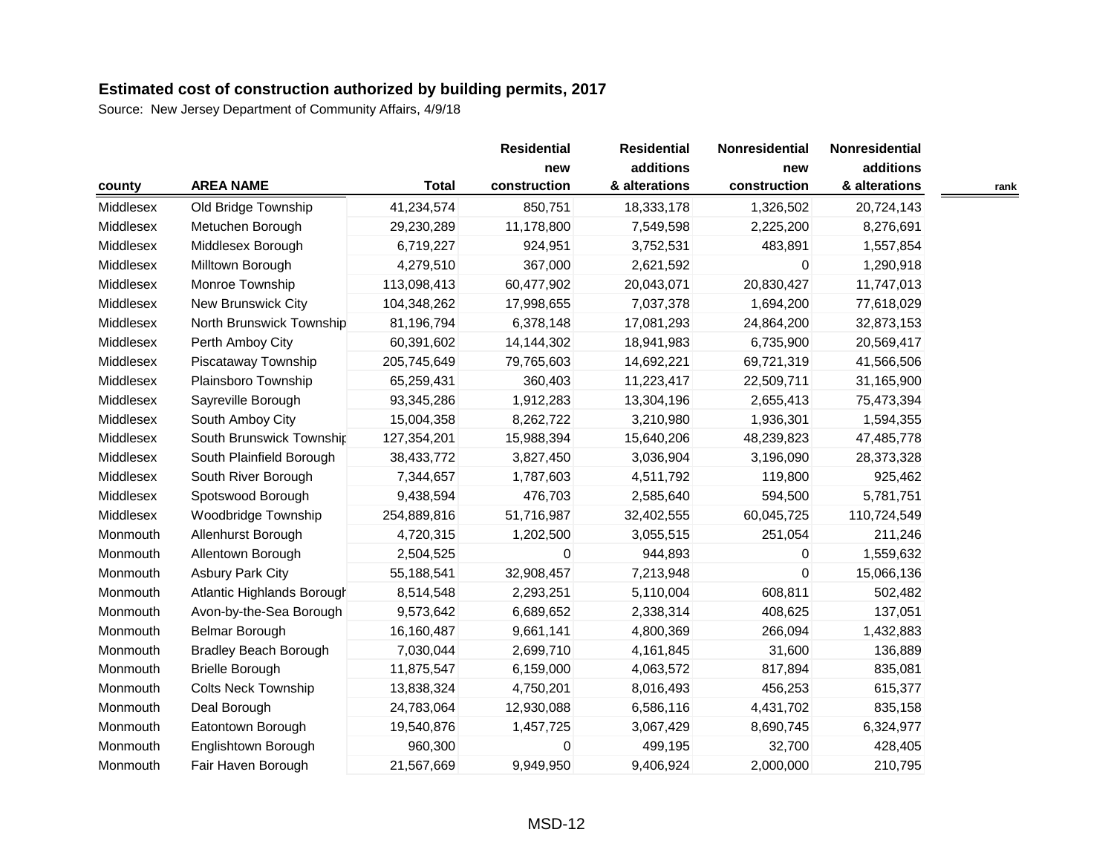|           |                              |              | <b>Residential</b>  | <b>Residential</b>         | Nonresidential      | Nonresidential             |      |
|-----------|------------------------------|--------------|---------------------|----------------------------|---------------------|----------------------------|------|
| county    | <b>AREA NAME</b>             | <b>Total</b> | new<br>construction | additions<br>& alterations | new<br>construction | additions<br>& alterations | rank |
| Middlesex | Old Bridge Township          | 41,234,574   | 850,751             | 18,333,178                 | 1,326,502           | 20,724,143                 |      |
| Middlesex | Metuchen Borough             | 29,230,289   | 11,178,800          | 7,549,598                  | 2,225,200           | 8,276,691                  |      |
| Middlesex | Middlesex Borough            | 6,719,227    | 924,951             | 3,752,531                  | 483,891             | 1,557,854                  |      |
| Middlesex | Milltown Borough             | 4,279,510    | 367,000             | 2,621,592                  | $\Omega$            | 1,290,918                  |      |
| Middlesex | Monroe Township              | 113,098,413  | 60,477,902          | 20,043,071                 | 20,830,427          | 11,747,013                 |      |
| Middlesex | New Brunswick City           | 104,348,262  | 17,998,655          | 7,037,378                  | 1,694,200           | 77,618,029                 |      |
| Middlesex | North Brunswick Township     | 81,196,794   | 6,378,148           | 17,081,293                 | 24,864,200          | 32,873,153                 |      |
| Middlesex | Perth Amboy City             | 60,391,602   | 14,144,302          | 18,941,983                 | 6,735,900           | 20,569,417                 |      |
| Middlesex | Piscataway Township          | 205,745,649  | 79,765,603          | 14,692,221                 | 69,721,319          | 41,566,506                 |      |
| Middlesex | Plainsboro Township          | 65,259,431   | 360,403             | 11,223,417                 | 22,509,711          | 31,165,900                 |      |
| Middlesex | Sayreville Borough           | 93,345,286   | 1,912,283           | 13,304,196                 | 2,655,413           | 75,473,394                 |      |
| Middlesex | South Amboy City             | 15,004,358   | 8,262,722           | 3,210,980                  | 1,936,301           | 1,594,355                  |      |
| Middlesex | South Brunswick Township     | 127,354,201  | 15,988,394          | 15,640,206                 | 48,239,823          | 47,485,778                 |      |
| Middlesex | South Plainfield Borough     | 38,433,772   | 3,827,450           | 3,036,904                  | 3,196,090           | 28,373,328                 |      |
| Middlesex | South River Borough          | 7,344,657    | 1,787,603           | 4,511,792                  | 119,800             | 925,462                    |      |
| Middlesex | Spotswood Borough            | 9,438,594    | 476,703             | 2,585,640                  | 594,500             | 5,781,751                  |      |
| Middlesex | Woodbridge Township          | 254,889,816  | 51,716,987          | 32,402,555                 | 60,045,725          | 110,724,549                |      |
| Monmouth  | Allenhurst Borough           | 4,720,315    | 1,202,500           | 3,055,515                  | 251,054             | 211,246                    |      |
| Monmouth  | Allentown Borough            | 2,504,525    | $\mathbf 0$         | 944,893                    | $\mathbf{0}$        | 1,559,632                  |      |
| Monmouth  | <b>Asbury Park City</b>      | 55,188,541   | 32,908,457          | 7,213,948                  | 0                   | 15,066,136                 |      |
| Monmouth  | Atlantic Highlands Borough   | 8,514,548    | 2,293,251           | 5,110,004                  | 608,811             | 502,482                    |      |
| Monmouth  | Avon-by-the-Sea Borough      | 9,573,642    | 6,689,652           | 2,338,314                  | 408,625             | 137,051                    |      |
| Monmouth  | Belmar Borough               | 16,160,487   | 9,661,141           | 4,800,369                  | 266,094             | 1,432,883                  |      |
| Monmouth  | <b>Bradley Beach Borough</b> | 7,030,044    | 2,699,710           | 4,161,845                  | 31,600              | 136,889                    |      |
| Monmouth  | <b>Brielle Borough</b>       | 11,875,547   | 6,159,000           | 4,063,572                  | 817,894             | 835,081                    |      |
| Monmouth  | <b>Colts Neck Township</b>   | 13,838,324   | 4,750,201           | 8,016,493                  | 456,253             | 615,377                    |      |
| Monmouth  | Deal Borough                 | 24,783,064   | 12,930,088          | 6,586,116                  | 4,431,702           | 835,158                    |      |
| Monmouth  | Eatontown Borough            | 19,540,876   | 1,457,725           | 3,067,429                  | 8,690,745           | 6,324,977                  |      |
| Monmouth  | Englishtown Borough          | 960,300      | 0                   | 499,195                    | 32,700              | 428,405                    |      |
| Monmouth  | Fair Haven Borough           | 21,567,669   | 9,949,950           | 9,406,924                  | 2,000,000           | 210,795                    |      |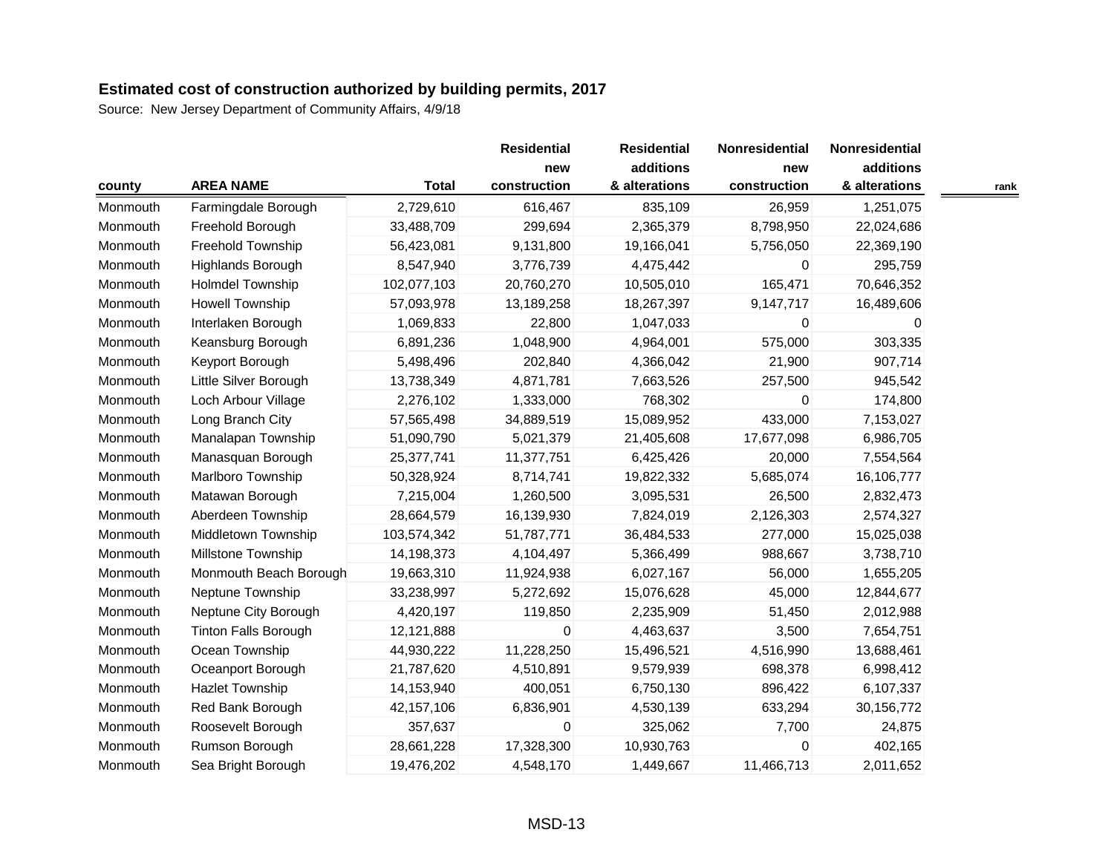|          |                             |              | <b>Residential</b><br>new | <b>Residential</b><br>additions | Nonresidential | Nonresidential |  |
|----------|-----------------------------|--------------|---------------------------|---------------------------------|----------------|----------------|--|
|          |                             |              |                           |                                 | new            | additions      |  |
| county   | <b>AREA NAME</b>            | <b>Total</b> | construction              | & alterations                   | construction   | & alterations  |  |
| Monmouth | Farmingdale Borough         | 2,729,610    | 616,467                   | 835,109                         | 26,959         | 1,251,075      |  |
| Monmouth | Freehold Borough            | 33,488,709   | 299,694                   | 2,365,379                       | 8,798,950      | 22,024,686     |  |
| Monmouth | Freehold Township           | 56,423,081   | 9,131,800                 | 19,166,041                      | 5,756,050      | 22,369,190     |  |
| Monmouth | Highlands Borough           | 8,547,940    | 3,776,739                 | 4,475,442                       | $\mathbf{0}$   | 295,759        |  |
| Monmouth | <b>Holmdel Township</b>     | 102,077,103  | 20,760,270                | 10,505,010                      | 165,471        | 70,646,352     |  |
| Monmouth | Howell Township             | 57,093,978   | 13,189,258                | 18,267,397                      | 9,147,717      | 16,489,606     |  |
| Monmouth | Interlaken Borough          | 1,069,833    | 22,800                    | 1,047,033                       | $\Omega$       | 0              |  |
| Monmouth | Keansburg Borough           | 6,891,236    | 1,048,900                 | 4,964,001                       | 575,000        | 303,335        |  |
| Monmouth | Keyport Borough             | 5,498,496    | 202,840                   | 4,366,042                       | 21,900         | 907,714        |  |
| Monmouth | Little Silver Borough       | 13,738,349   | 4,871,781                 | 7,663,526                       | 257,500        | 945,542        |  |
| Monmouth | Loch Arbour Village         | 2,276,102    | 1,333,000                 | 768,302                         | $\mathbf{0}$   | 174,800        |  |
| Monmouth | Long Branch City            | 57,565,498   | 34,889,519                | 15,089,952                      | 433,000        | 7,153,027      |  |
| Monmouth | Manalapan Township          | 51,090,790   | 5,021,379                 | 21,405,608                      | 17,677,098     | 6,986,705      |  |
| Monmouth | Manasquan Borough           | 25,377,741   | 11,377,751                | 6,425,426                       | 20,000         | 7,554,564      |  |
| Monmouth | Marlboro Township           | 50,328,924   | 8,714,741                 | 19,822,332                      | 5,685,074      | 16,106,777     |  |
| Monmouth | Matawan Borough             | 7,215,004    | 1,260,500                 | 3,095,531                       | 26,500         | 2,832,473      |  |
| Monmouth | Aberdeen Township           | 28,664,579   | 16,139,930                | 7,824,019                       | 2,126,303      | 2,574,327      |  |
| Monmouth | Middletown Township         | 103,574,342  | 51,787,771                | 36,484,533                      | 277,000        | 15,025,038     |  |
| Monmouth | Millstone Township          | 14,198,373   | 4,104,497                 | 5,366,499                       | 988,667        | 3,738,710      |  |
| Monmouth | Monmouth Beach Borough      | 19,663,310   | 11,924,938                | 6,027,167                       | 56,000         | 1,655,205      |  |
| Monmouth | Neptune Township            | 33,238,997   | 5,272,692                 | 15,076,628                      | 45,000         | 12,844,677     |  |
| Monmouth | Neptune City Borough        | 4,420,197    | 119,850                   | 2,235,909                       | 51,450         | 2,012,988      |  |
| Monmouth | <b>Tinton Falls Borough</b> | 12,121,888   | 0                         | 4,463,637                       | 3,500          | 7,654,751      |  |
| Monmouth | Ocean Township              | 44,930,222   | 11,228,250                | 15,496,521                      | 4,516,990      | 13,688,461     |  |
| Monmouth | Oceanport Borough           | 21,787,620   | 4,510,891                 | 9,579,939                       | 698,378        | 6,998,412      |  |
| Monmouth | Hazlet Township             | 14,153,940   | 400,051                   | 6,750,130                       | 896,422        | 6,107,337      |  |
| Monmouth | Red Bank Borough            | 42,157,106   | 6,836,901                 | 4,530,139                       | 633,294        | 30,156,772     |  |
| Monmouth | Roosevelt Borough           | 357,637      | $\mathbf 0$               | 325,062                         | 7,700          | 24,875         |  |
| Monmouth | Rumson Borough              | 28,661,228   | 17,328,300                | 10,930,763                      | $\mathbf 0$    | 402,165        |  |
| Monmouth | Sea Bright Borough          | 19,476,202   | 4,548,170                 | 1,449,667                       | 11,466,713     | 2,011,652      |  |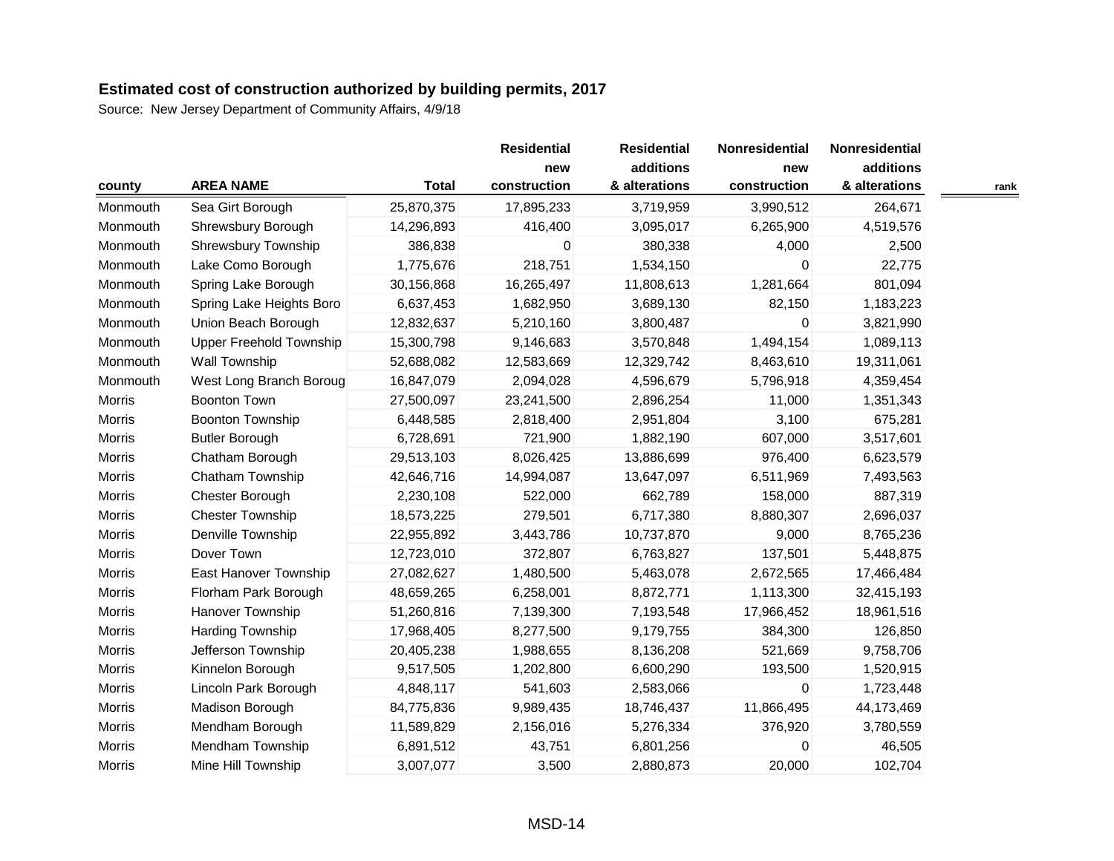| county   | <b>AREA NAME</b>               | <b>Total</b> | <b>Residential</b><br>new<br>construction | <b>Residential</b><br>additions<br>& alterations | Nonresidential<br>new<br>construction | Nonresidential<br>additions<br>& alterations | rank |
|----------|--------------------------------|--------------|-------------------------------------------|--------------------------------------------------|---------------------------------------|----------------------------------------------|------|
| Monmouth | Sea Girt Borough               | 25,870,375   | 17,895,233                                | 3,719,959                                        | 3,990,512                             | 264,671                                      |      |
| Monmouth | Shrewsbury Borough             | 14,296,893   | 416,400                                   | 3,095,017                                        | 6,265,900                             | 4,519,576                                    |      |
| Monmouth | Shrewsbury Township            | 386,838      | 0                                         | 380,338                                          | 4,000                                 | 2,500                                        |      |
| Monmouth | Lake Como Borough              | 1,775,676    | 218,751                                   | 1,534,150                                        | $\Omega$                              | 22,775                                       |      |
| Monmouth | Spring Lake Borough            | 30,156,868   | 16,265,497                                | 11,808,613                                       | 1,281,664                             | 801,094                                      |      |
| Monmouth | Spring Lake Heights Boro       | 6,637,453    | 1,682,950                                 | 3,689,130                                        | 82,150                                | 1,183,223                                    |      |
| Monmouth | Union Beach Borough            | 12,832,637   | 5,210,160                                 | 3,800,487                                        | $\Omega$                              | 3,821,990                                    |      |
| Monmouth | <b>Upper Freehold Township</b> | 15,300,798   | 9,146,683                                 | 3,570,848                                        | 1,494,154                             | 1,089,113                                    |      |
| Monmouth | <b>Wall Township</b>           | 52,688,082   | 12,583,669                                | 12,329,742                                       | 8,463,610                             | 19,311,061                                   |      |
| Monmouth | West Long Branch Boroug        | 16,847,079   | 2,094,028                                 | 4,596,679                                        | 5,796,918                             | 4,359,454                                    |      |
| Morris   | <b>Boonton Town</b>            | 27,500,097   | 23,241,500                                | 2,896,254                                        | 11,000                                | 1,351,343                                    |      |
| Morris   | Boonton Township               | 6,448,585    | 2,818,400                                 | 2,951,804                                        | 3,100                                 | 675,281                                      |      |
| Morris   | <b>Butler Borough</b>          | 6,728,691    | 721,900                                   | 1,882,190                                        | 607,000                               | 3,517,601                                    |      |
| Morris   | Chatham Borough                | 29,513,103   | 8,026,425                                 | 13,886,699                                       | 976,400                               | 6,623,579                                    |      |
| Morris   | Chatham Township               | 42,646,716   | 14,994,087                                | 13,647,097                                       | 6,511,969                             | 7,493,563                                    |      |
| Morris   | Chester Borough                | 2,230,108    | 522,000                                   | 662,789                                          | 158,000                               | 887,319                                      |      |
| Morris   | <b>Chester Township</b>        | 18,573,225   | 279,501                                   | 6,717,380                                        | 8,880,307                             | 2,696,037                                    |      |
| Morris   | Denville Township              | 22,955,892   | 3,443,786                                 | 10,737,870                                       | 9,000                                 | 8,765,236                                    |      |
| Morris   | Dover Town                     | 12,723,010   | 372,807                                   | 6,763,827                                        | 137,501                               | 5,448,875                                    |      |
| Morris   | East Hanover Township          | 27,082,627   | 1,480,500                                 | 5,463,078                                        | 2,672,565                             | 17,466,484                                   |      |
| Morris   | Florham Park Borough           | 48,659,265   | 6,258,001                                 | 8,872,771                                        | 1,113,300                             | 32,415,193                                   |      |
| Morris   | Hanover Township               | 51,260,816   | 7,139,300                                 | 7,193,548                                        | 17,966,452                            | 18,961,516                                   |      |
| Morris   | <b>Harding Township</b>        | 17,968,405   | 8,277,500                                 | 9,179,755                                        | 384,300                               | 126,850                                      |      |
| Morris   | Jefferson Township             | 20,405,238   | 1,988,655                                 | 8,136,208                                        | 521,669                               | 9,758,706                                    |      |
| Morris   | Kinnelon Borough               | 9,517,505    | 1,202,800                                 | 6,600,290                                        | 193,500                               | 1,520,915                                    |      |
| Morris   | Lincoln Park Borough           | 4,848,117    | 541,603                                   | 2,583,066                                        | $\Omega$                              | 1,723,448                                    |      |
| Morris   | Madison Borough                | 84,775,836   | 9,989,435                                 | 18,746,437                                       | 11,866,495                            | 44,173,469                                   |      |
| Morris   | Mendham Borough                | 11,589,829   | 2,156,016                                 | 5,276,334                                        | 376,920                               | 3,780,559                                    |      |
| Morris   | Mendham Township               | 6,891,512    | 43,751                                    | 6,801,256                                        | $\Omega$                              | 46,505                                       |      |
| Morris   | Mine Hill Township             | 3,007,077    | 3,500                                     | 2,880,873                                        | 20,000                                | 102,704                                      |      |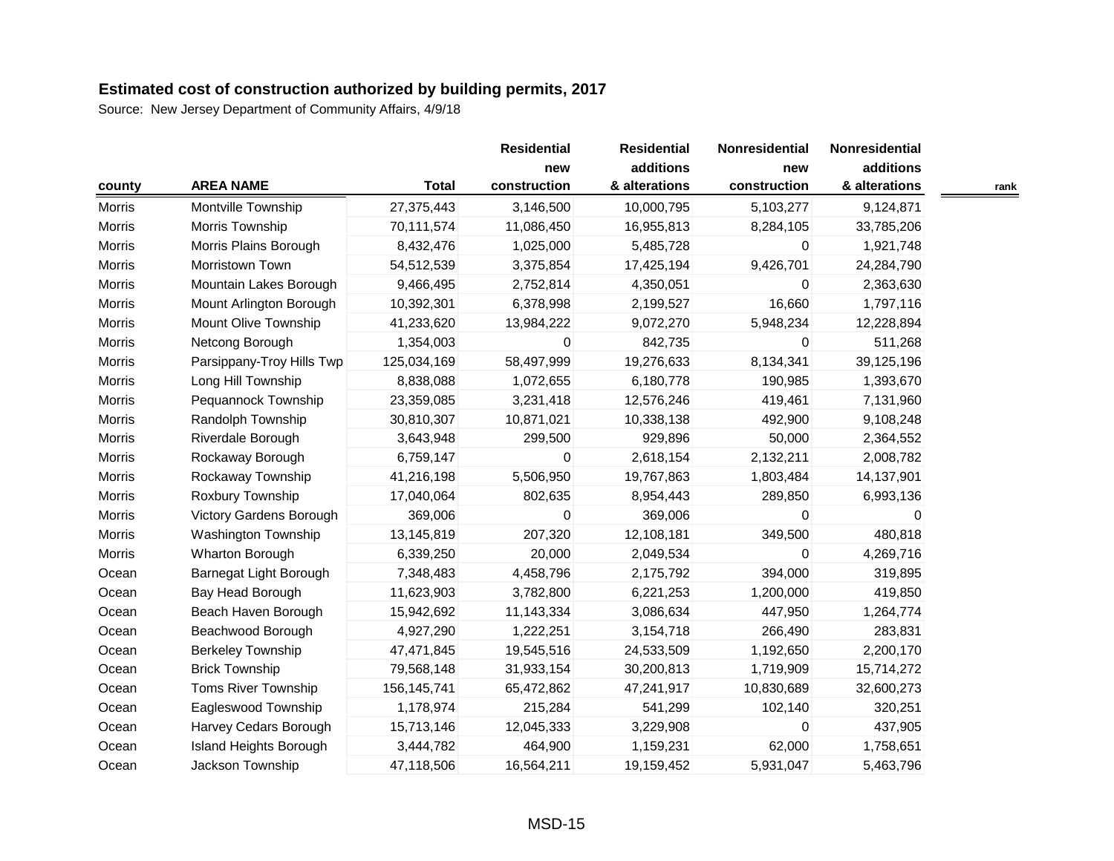|        |                           |               | <b>Residential</b>  | <b>Residential</b><br>additions | Nonresidential      | Nonresidential<br>additions |      |
|--------|---------------------------|---------------|---------------------|---------------------------------|---------------------|-----------------------------|------|
| county | <b>AREA NAME</b>          | <b>Total</b>  | new<br>construction | & alterations                   | new<br>construction | & alterations               | rank |
| Morris | Montville Township        | 27,375,443    | 3,146,500           | 10,000,795                      | 5,103,277           | 9,124,871                   |      |
| Morris | Morris Township           | 70,111,574    | 11,086,450          | 16,955,813                      | 8,284,105           | 33,785,206                  |      |
| Morris | Morris Plains Borough     | 8,432,476     | 1,025,000           | 5,485,728                       | 0                   | 1,921,748                   |      |
| Morris | Morristown Town           | 54,512,539    | 3,375,854           | 17,425,194                      | 9,426,701           | 24,284,790                  |      |
| Morris | Mountain Lakes Borough    | 9,466,495     | 2,752,814           | 4,350,051                       | 0                   | 2,363,630                   |      |
| Morris | Mount Arlington Borough   | 10,392,301    | 6,378,998           | 2,199,527                       | 16,660              | 1,797,116                   |      |
| Morris | Mount Olive Township      | 41,233,620    | 13,984,222          | 9,072,270                       | 5,948,234           | 12,228,894                  |      |
| Morris | Netcong Borough           | 1,354,003     | $\pmb{0}$           | 842,735                         | $\mathbf 0$         | 511,268                     |      |
| Morris | Parsippany-Troy Hills Twp | 125,034,169   | 58,497,999          | 19,276,633                      | 8,134,341           | 39,125,196                  |      |
| Morris | Long Hill Township        | 8,838,088     | 1,072,655           | 6,180,778                       | 190,985             | 1,393,670                   |      |
| Morris | Pequannock Township       | 23,359,085    | 3,231,418           | 12,576,246                      | 419,461             | 7,131,960                   |      |
| Morris | Randolph Township         | 30,810,307    | 10,871,021          | 10,338,138                      | 492,900             | 9,108,248                   |      |
| Morris | Riverdale Borough         | 3,643,948     | 299,500             | 929,896                         | 50,000              | 2,364,552                   |      |
| Morris | Rockaway Borough          | 6,759,147     | 0                   | 2,618,154                       | 2,132,211           | 2,008,782                   |      |
| Morris | Rockaway Township         | 41,216,198    | 5,506,950           | 19,767,863                      | 1,803,484           | 14,137,901                  |      |
| Morris | Roxbury Township          | 17,040,064    | 802,635             | 8,954,443                       | 289,850             | 6,993,136                   |      |
| Morris | Victory Gardens Borough   | 369,006       | 0                   | 369,006                         | $\Omega$            | 0                           |      |
| Morris | Washington Township       | 13,145,819    | 207,320             | 12,108,181                      | 349,500             | 480,818                     |      |
| Morris | Wharton Borough           | 6,339,250     | 20,000              | 2,049,534                       | $\Omega$            | 4,269,716                   |      |
| Ocean  | Barnegat Light Borough    | 7,348,483     | 4,458,796           | 2,175,792                       | 394,000             | 319,895                     |      |
| Ocean  | Bay Head Borough          | 11,623,903    | 3,782,800           | 6,221,253                       | 1,200,000           | 419,850                     |      |
| Ocean  | Beach Haven Borough       | 15,942,692    | 11,143,334          | 3,086,634                       | 447,950             | 1,264,774                   |      |
| Ocean  | Beachwood Borough         | 4,927,290     | 1,222,251           | 3,154,718                       | 266,490             | 283,831                     |      |
| Ocean  | <b>Berkeley Township</b>  | 47,471,845    | 19,545,516          | 24,533,509                      | 1,192,650           | 2,200,170                   |      |
| Ocean  | <b>Brick Township</b>     | 79,568,148    | 31,933,154          | 30,200,813                      | 1,719,909           | 15,714,272                  |      |
| Ocean  | Toms River Township       | 156, 145, 741 | 65,472,862          | 47,241,917                      | 10,830,689          | 32,600,273                  |      |
| Ocean  | Eagleswood Township       | 1,178,974     | 215,284             | 541,299                         | 102,140             | 320,251                     |      |
| Ocean  | Harvey Cedars Borough     | 15,713,146    | 12,045,333          | 3,229,908                       | $\mathbf 0$         | 437,905                     |      |
| Ocean  | Island Heights Borough    | 3,444,782     | 464,900             | 1,159,231                       | 62,000              | 1,758,651                   |      |
| Ocean  | Jackson Township          | 47,118,506    | 16,564,211          | 19,159,452                      | 5,931,047           | 5,463,796                   |      |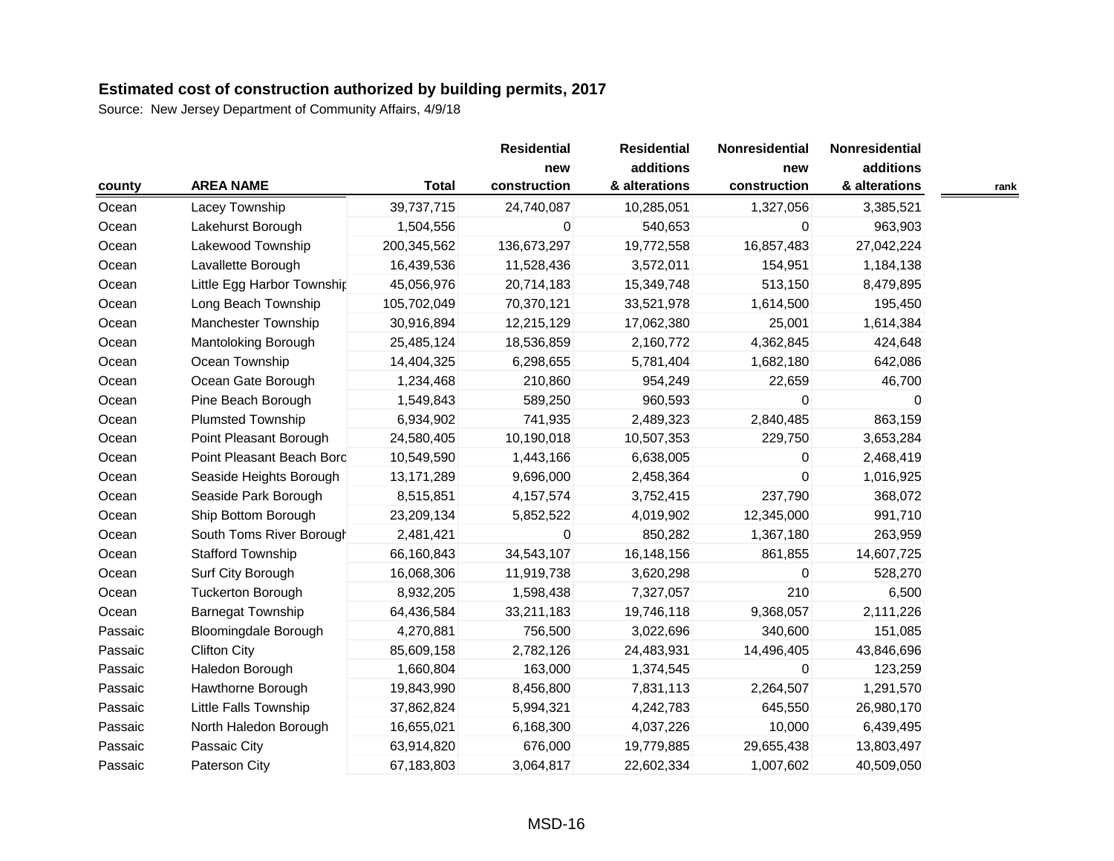| county  |                             |              | <b>Residential</b><br>new | <b>Residential</b><br>additions | Nonresidential<br>new | Nonresidential<br>additions |      |
|---------|-----------------------------|--------------|---------------------------|---------------------------------|-----------------------|-----------------------------|------|
|         | <b>AREA NAME</b>            | <b>Total</b> | construction              | & alterations                   | construction          | & alterations               | rank |
| Ocean   | Lacey Township              | 39,737,715   | 24,740,087                | 10,285,051                      | 1,327,056             | 3,385,521                   |      |
| Ocean   | Lakehurst Borough           | 1,504,556    | 0                         | 540,653                         | 0                     | 963,903                     |      |
| Ocean   | Lakewood Township           | 200,345,562  | 136,673,297               | 19,772,558                      | 16,857,483            | 27,042,224                  |      |
| Ocean   | Lavallette Borough          | 16,439,536   | 11,528,436                | 3,572,011                       | 154,951               | 1,184,138                   |      |
| Ocean   | Little Egg Harbor Township  | 45,056,976   | 20,714,183                | 15,349,748                      | 513,150               | 8,479,895                   |      |
| Ocean   | Long Beach Township         | 105,702,049  | 70,370,121                | 33,521,978                      | 1,614,500             | 195,450                     |      |
| Ocean   | <b>Manchester Township</b>  | 30,916,894   | 12,215,129                | 17,062,380                      | 25,001                | 1,614,384                   |      |
| Ocean   | Mantoloking Borough         | 25,485,124   | 18,536,859                | 2,160,772                       | 4,362,845             | 424,648                     |      |
| Ocean   | Ocean Township              | 14,404,325   | 6,298,655                 | 5,781,404                       | 1,682,180             | 642,086                     |      |
| Ocean   | Ocean Gate Borough          | 1,234,468    | 210,860                   | 954,249                         | 22,659                | 46,700                      |      |
| Ocean   | Pine Beach Borough          | 1,549,843    | 589,250                   | 960,593                         | $\Omega$              | $\Omega$                    |      |
| Ocean   | <b>Plumsted Township</b>    | 6,934,902    | 741,935                   | 2,489,323                       | 2,840,485             | 863,159                     |      |
| Ocean   | Point Pleasant Borough      | 24,580,405   | 10,190,018                | 10,507,353                      | 229,750               | 3,653,284                   |      |
| Ocean   | Point Pleasant Beach Borc   | 10,549,590   | 1,443,166                 | 6,638,005                       | 0                     | 2,468,419                   |      |
| Ocean   | Seaside Heights Borough     | 13,171,289   | 9,696,000                 | 2,458,364                       | $\mathbf 0$           | 1,016,925                   |      |
| Ocean   | Seaside Park Borough        | 8,515,851    | 4, 157, 574               | 3,752,415                       | 237,790               | 368,072                     |      |
| Ocean   | Ship Bottom Borough         | 23,209,134   | 5,852,522                 | 4,019,902                       | 12,345,000            | 991,710                     |      |
| Ocean   | South Toms River Borough    | 2,481,421    | 0                         | 850,282                         | 1,367,180             | 263,959                     |      |
| Ocean   | <b>Stafford Township</b>    | 66,160,843   | 34,543,107                | 16,148,156                      | 861,855               | 14,607,725                  |      |
| Ocean   | Surf City Borough           | 16,068,306   | 11,919,738                | 3,620,298                       | 0                     | 528,270                     |      |
| Ocean   | <b>Tuckerton Borough</b>    | 8,932,205    | 1,598,438                 | 7,327,057                       | 210                   | 6,500                       |      |
| Ocean   | <b>Barnegat Township</b>    | 64,436,584   | 33,211,183                | 19,746,118                      | 9,368,057             | 2,111,226                   |      |
| Passaic | <b>Bloomingdale Borough</b> | 4,270,881    | 756,500                   | 3,022,696                       | 340,600               | 151,085                     |      |
| Passaic | <b>Clifton City</b>         | 85,609,158   | 2,782,126                 | 24,483,931                      | 14,496,405            | 43,846,696                  |      |
| Passaic | Haledon Borough             | 1,660,804    | 163,000                   | 1,374,545                       | $\Omega$              | 123,259                     |      |
| Passaic | Hawthorne Borough           | 19,843,990   | 8,456,800                 | 7,831,113                       | 2,264,507             | 1,291,570                   |      |
| Passaic | Little Falls Township       | 37,862,824   | 5,994,321                 | 4,242,783                       | 645,550               | 26,980,170                  |      |
| Passaic | North Haledon Borough       | 16,655,021   | 6,168,300                 | 4,037,226                       | 10,000                | 6,439,495                   |      |
| Passaic | Passaic City                | 63,914,820   | 676,000                   | 19,779,885                      | 29,655,438            | 13,803,497                  |      |
| Passaic | Paterson City               | 67,183,803   | 3,064,817                 | 22,602,334                      | 1,007,602             | 40,509,050                  |      |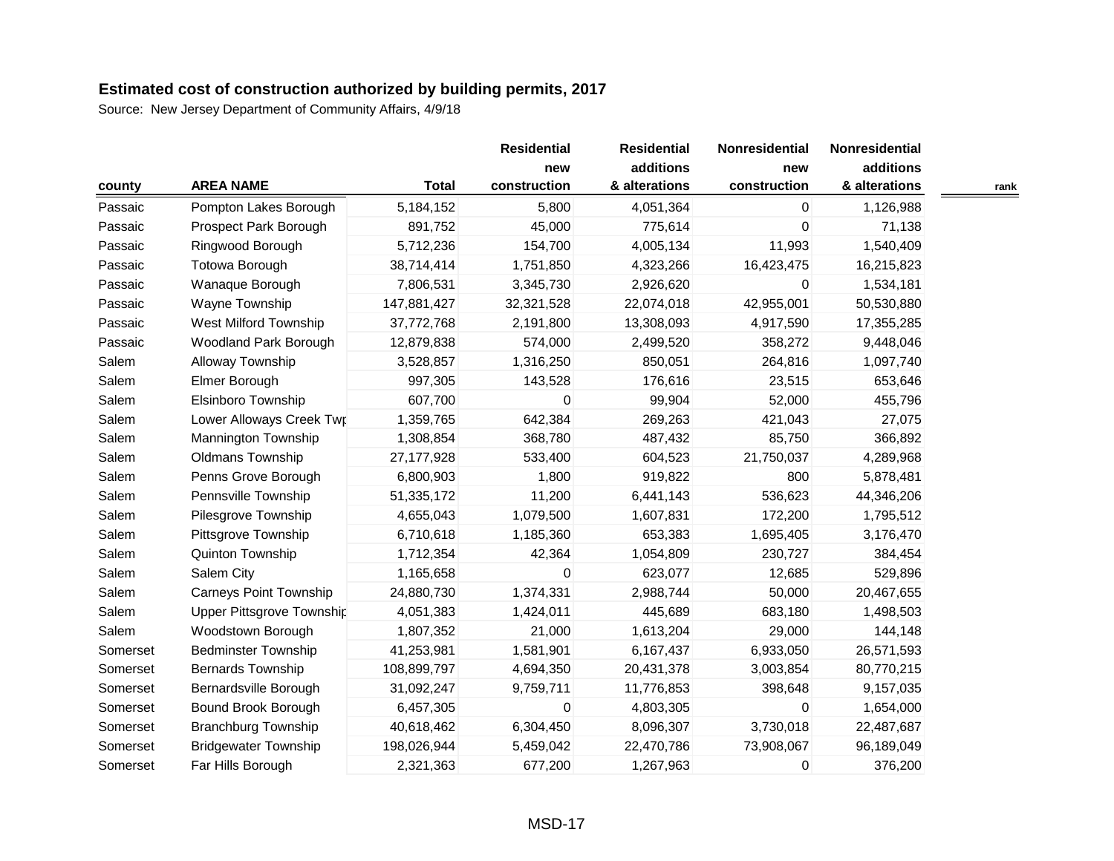|          |                               |              | <b>Residential</b><br>new | <b>Residential</b><br>additions | Nonresidential<br>new | Nonresidential<br>additions |      |
|----------|-------------------------------|--------------|---------------------------|---------------------------------|-----------------------|-----------------------------|------|
| county   | <b>AREA NAME</b>              | <b>Total</b> | construction              | & alterations                   | construction          | & alterations               | rank |
| Passaic  | Pompton Lakes Borough         | 5,184,152    | 5,800                     | 4,051,364                       | $\mathbf 0$           | 1,126,988                   |      |
| Passaic  | Prospect Park Borough         | 891,752      | 45,000                    | 775,614                         | 0                     | 71,138                      |      |
| Passaic  | Ringwood Borough              | 5,712,236    | 154,700                   | 4,005,134                       | 11,993                | 1,540,409                   |      |
| Passaic  | Totowa Borough                | 38,714,414   | 1,751,850                 | 4,323,266                       | 16,423,475            | 16,215,823                  |      |
| Passaic  | Wanaque Borough               | 7,806,531    | 3,345,730                 | 2,926,620                       | 0                     | 1,534,181                   |      |
| Passaic  | Wayne Township                | 147,881,427  | 32,321,528                | 22,074,018                      | 42,955,001            | 50,530,880                  |      |
| Passaic  | <b>West Milford Township</b>  | 37,772,768   | 2,191,800                 | 13,308,093                      | 4,917,590             | 17,355,285                  |      |
| Passaic  | Woodland Park Borough         | 12,879,838   | 574,000                   | 2,499,520                       | 358,272               | 9,448,046                   |      |
| Salem    | Alloway Township              | 3,528,857    | 1,316,250                 | 850,051                         | 264,816               | 1,097,740                   |      |
| Salem    | Elmer Borough                 | 997,305      | 143,528                   | 176,616                         | 23,515                | 653,646                     |      |
| Salem    | Elsinboro Township            | 607,700      | 0                         | 99,904                          | 52,000                | 455,796                     |      |
| Salem    | Lower Alloways Creek Twr      | 1,359,765    | 642,384                   | 269,263                         | 421,043               | 27,075                      |      |
| Salem    | <b>Mannington Township</b>    | 1,308,854    | 368,780                   | 487,432                         | 85,750                | 366,892                     |      |
| Salem    | Oldmans Township              | 27,177,928   | 533,400                   | 604,523                         | 21,750,037            | 4,289,968                   |      |
| Salem    | Penns Grove Borough           | 6,800,903    | 1,800                     | 919,822                         | 800                   | 5,878,481                   |      |
| Salem    | Pennsville Township           | 51,335,172   | 11,200                    | 6,441,143                       | 536,623               | 44,346,206                  |      |
| Salem    | Pilesgrove Township           | 4,655,043    | 1,079,500                 | 1,607,831                       | 172,200               | 1,795,512                   |      |
| Salem    | Pittsgrove Township           | 6,710,618    | 1,185,360                 | 653,383                         | 1,695,405             | 3,176,470                   |      |
| Salem    | Quinton Township              | 1,712,354    | 42,364                    | 1,054,809                       | 230,727               | 384,454                     |      |
| Salem    | Salem City                    | 1,165,658    | 0                         | 623,077                         | 12,685                | 529,896                     |      |
| Salem    | <b>Carneys Point Township</b> | 24,880,730   | 1,374,331                 | 2,988,744                       | 50,000                | 20,467,655                  |      |
| Salem    | Upper Pittsgrove Township     | 4,051,383    | 1,424,011                 | 445,689                         | 683,180               | 1,498,503                   |      |
| Salem    | Woodstown Borough             | 1,807,352    | 21,000                    | 1,613,204                       | 29,000                | 144,148                     |      |
| Somerset | <b>Bedminster Township</b>    | 41,253,981   | 1,581,901                 | 6,167,437                       | 6,933,050             | 26,571,593                  |      |
| Somerset | <b>Bernards Township</b>      | 108,899,797  | 4,694,350                 | 20,431,378                      | 3,003,854             | 80,770,215                  |      |
| Somerset | Bernardsville Borough         | 31,092,247   | 9,759,711                 | 11,776,853                      | 398,648               | 9,157,035                   |      |
| Somerset | Bound Brook Borough           | 6,457,305    | 0                         | 4,803,305                       | 0                     | 1,654,000                   |      |
| Somerset | <b>Branchburg Township</b>    | 40,618,462   | 6,304,450                 | 8,096,307                       | 3,730,018             | 22,487,687                  |      |
| Somerset | <b>Bridgewater Township</b>   | 198,026,944  | 5,459,042                 | 22,470,786                      | 73,908,067            | 96,189,049                  |      |
| Somerset | Far Hills Borough             | 2,321,363    | 677,200                   | 1,267,963                       | 0                     | 376,200                     |      |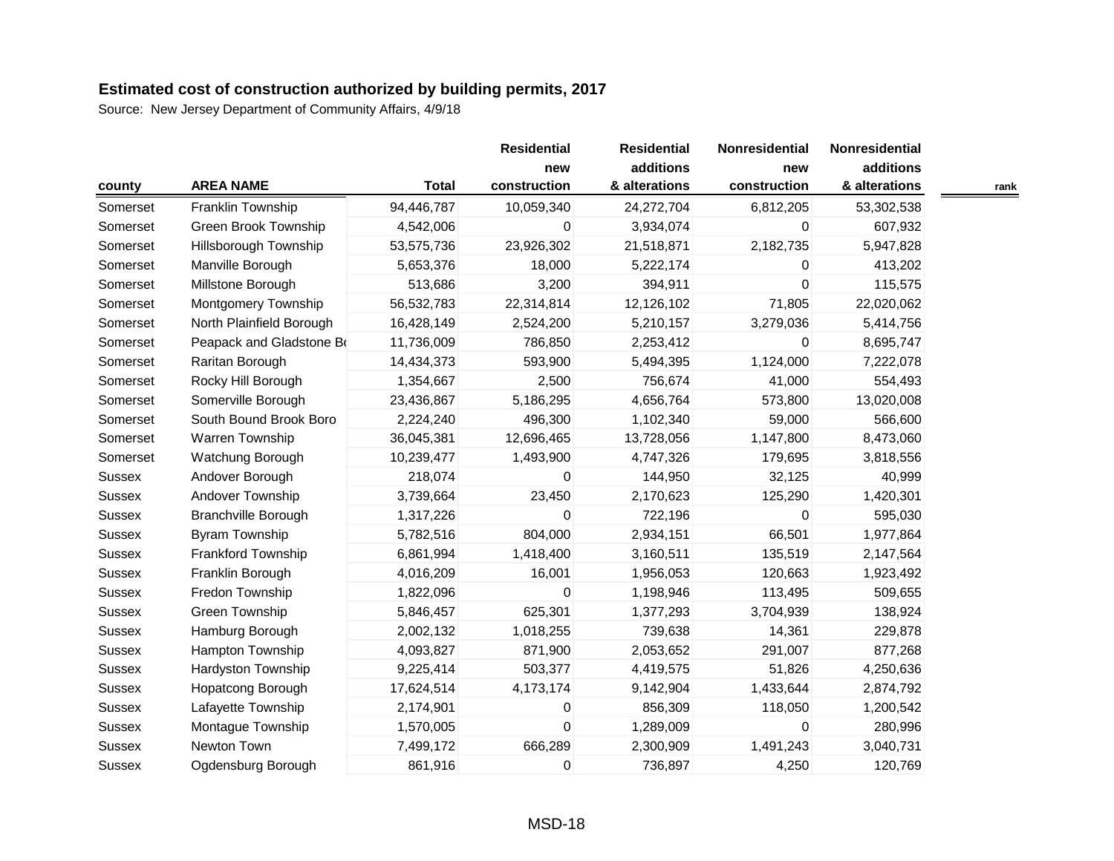|               |                            |              | <b>Residential</b><br>new | <b>Residential</b><br>additions | Nonresidential<br>new | Nonresidential<br>additions |      |
|---------------|----------------------------|--------------|---------------------------|---------------------------------|-----------------------|-----------------------------|------|
| county        | <b>AREA NAME</b>           | <b>Total</b> | construction              | & alterations                   | construction          | & alterations               | rank |
| Somerset      | Franklin Township          | 94,446,787   | 10,059,340                | 24,272,704                      | 6,812,205             | 53,302,538                  |      |
| Somerset      | Green Brook Township       | 4,542,006    | 0                         | 3,934,074                       | 0                     | 607,932                     |      |
| Somerset      | Hillsborough Township      | 53,575,736   | 23,926,302                | 21,518,871                      | 2,182,735             | 5,947,828                   |      |
| Somerset      | Manville Borough           | 5,653,376    | 18,000                    | 5,222,174                       | 0                     | 413,202                     |      |
| Somerset      | Millstone Borough          | 513,686      | 3,200                     | 394,911                         | $\Omega$              | 115,575                     |      |
| Somerset      | Montgomery Township        | 56,532,783   | 22,314,814                | 12,126,102                      | 71,805                | 22,020,062                  |      |
| Somerset      | North Plainfield Borough   | 16,428,149   | 2,524,200                 | 5,210,157                       | 3,279,036             | 5,414,756                   |      |
| Somerset      | Peapack and Gladstone Bo   | 11,736,009   | 786,850                   | 2,253,412                       | $\mathbf 0$           | 8,695,747                   |      |
| Somerset      | Raritan Borough            | 14,434,373   | 593,900                   | 5,494,395                       | 1,124,000             | 7,222,078                   |      |
| Somerset      | Rocky Hill Borough         | 1,354,667    | 2,500                     | 756,674                         | 41,000                | 554,493                     |      |
| Somerset      | Somerville Borough         | 23,436,867   | 5,186,295                 | 4,656,764                       | 573,800               | 13,020,008                  |      |
| Somerset      | South Bound Brook Boro     | 2,224,240    | 496,300                   | 1,102,340                       | 59,000                | 566,600                     |      |
| Somerset      | Warren Township            | 36,045,381   | 12,696,465                | 13,728,056                      | 1,147,800             | 8,473,060                   |      |
| Somerset      | Watchung Borough           | 10,239,477   | 1,493,900                 | 4,747,326                       | 179,695               | 3,818,556                   |      |
| Sussex        | Andover Borough            | 218,074      | 0                         | 144,950                         | 32,125                | 40,999                      |      |
| Sussex        | Andover Township           | 3,739,664    | 23,450                    | 2,170,623                       | 125,290               | 1,420,301                   |      |
| Sussex        | <b>Branchville Borough</b> | 1,317,226    | 0                         | 722,196                         | $\mathbf 0$           | 595,030                     |      |
| Sussex        | <b>Byram Township</b>      | 5,782,516    | 804,000                   | 2,934,151                       | 66,501                | 1,977,864                   |      |
| Sussex        | Frankford Township         | 6,861,994    | 1,418,400                 | 3,160,511                       | 135,519               | 2,147,564                   |      |
| Sussex        | Franklin Borough           | 4,016,209    | 16,001                    | 1,956,053                       | 120,663               | 1,923,492                   |      |
| Sussex        | Fredon Township            | 1,822,096    | 0                         | 1,198,946                       | 113,495               | 509,655                     |      |
| <b>Sussex</b> | Green Township             | 5,846,457    | 625,301                   | 1,377,293                       | 3,704,939             | 138,924                     |      |
| <b>Sussex</b> | Hamburg Borough            | 2,002,132    | 1,018,255                 | 739,638                         | 14,361                | 229,878                     |      |
| Sussex        | Hampton Township           | 4,093,827    | 871,900                   | 2,053,652                       | 291,007               | 877,268                     |      |
| Sussex        | Hardyston Township         | 9,225,414    | 503,377                   | 4,419,575                       | 51,826                | 4,250,636                   |      |
| Sussex        | Hopatcong Borough          | 17,624,514   | 4,173,174                 | 9,142,904                       | 1,433,644             | 2,874,792                   |      |
| Sussex        | Lafayette Township         | 2,174,901    | 0                         | 856,309                         | 118,050               | 1,200,542                   |      |
| <b>Sussex</b> | Montague Township          | 1,570,005    | $\mathbf 0$               | 1,289,009                       | $\Omega$              | 280,996                     |      |
| Sussex        | Newton Town                | 7,499,172    | 666,289                   | 2,300,909                       | 1,491,243             | 3,040,731                   |      |
| <b>Sussex</b> | Ogdensburg Borough         | 861,916      | 0                         | 736,897                         | 4,250                 | 120,769                     |      |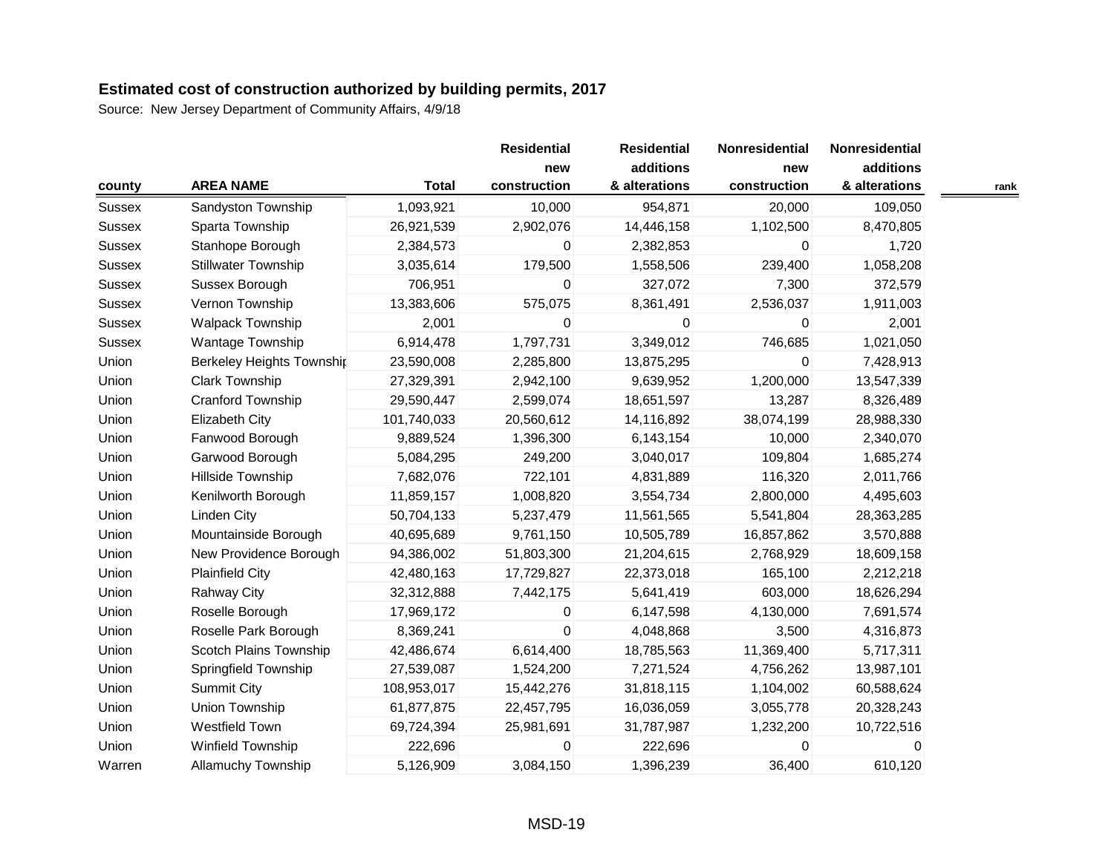| county        | <b>AREA NAME</b>           | <b>Total</b> | <b>Residential</b><br>new<br>construction | <b>Residential</b><br>additions<br>& alterations | Nonresidential<br>new<br>construction | Nonresidential<br>additions<br>& alterations | rank |
|---------------|----------------------------|--------------|-------------------------------------------|--------------------------------------------------|---------------------------------------|----------------------------------------------|------|
| Sussex        | Sandyston Township         | 1,093,921    | 10,000                                    | 954,871                                          | 20,000                                | 109,050                                      |      |
| Sussex        | Sparta Township            | 26,921,539   | 2,902,076                                 | 14,446,158                                       | 1,102,500                             | 8,470,805                                    |      |
| <b>Sussex</b> | Stanhope Borough           | 2,384,573    | 0                                         | 2,382,853                                        | 0                                     | 1,720                                        |      |
| <b>Sussex</b> | <b>Stillwater Township</b> | 3,035,614    | 179,500                                   | 1,558,506                                        | 239,400                               | 1,058,208                                    |      |
| Sussex        | Sussex Borough             | 706,951      | $\overline{0}$                            | 327,072                                          | 7,300                                 | 372,579                                      |      |
| Sussex        | Vernon Township            | 13,383,606   | 575,075                                   | 8,361,491                                        | 2,536,037                             | 1,911,003                                    |      |
| <b>Sussex</b> | <b>Walpack Township</b>    | 2,001        | 0                                         | 0                                                | $\Omega$                              | 2,001                                        |      |
| Sussex        | Wantage Township           | 6,914,478    | 1,797,731                                 | 3,349,012                                        | 746,685                               | 1,021,050                                    |      |
| Union         | Berkeley Heights Townshir  | 23,590,008   | 2,285,800                                 | 13,875,295                                       | 0                                     | 7,428,913                                    |      |
| Union         | <b>Clark Township</b>      | 27,329,391   | 2,942,100                                 | 9,639,952                                        | 1,200,000                             | 13,547,339                                   |      |
| Union         | Cranford Township          | 29,590,447   | 2,599,074                                 | 18,651,597                                       | 13,287                                | 8,326,489                                    |      |
| Union         | <b>Elizabeth City</b>      | 101,740,033  | 20,560,612                                | 14,116,892                                       | 38,074,199                            | 28,988,330                                   |      |
| Union         | Fanwood Borough            | 9,889,524    | 1,396,300                                 | 6,143,154                                        | 10,000                                | 2,340,070                                    |      |
| Union         | Garwood Borough            | 5,084,295    | 249,200                                   | 3,040,017                                        | 109,804                               | 1,685,274                                    |      |
| Union         | Hillside Township          | 7,682,076    | 722,101                                   | 4,831,889                                        | 116,320                               | 2,011,766                                    |      |
| Union         | Kenilworth Borough         | 11,859,157   | 1,008,820                                 | 3,554,734                                        | 2,800,000                             | 4,495,603                                    |      |
| Union         | <b>Linden City</b>         | 50,704,133   | 5,237,479                                 | 11,561,565                                       | 5,541,804                             | 28,363,285                                   |      |
| Union         | Mountainside Borough       | 40,695,689   | 9,761,150                                 | 10,505,789                                       | 16,857,862                            | 3,570,888                                    |      |
| Union         | New Providence Borough     | 94,386,002   | 51,803,300                                | 21,204,615                                       | 2,768,929                             | 18,609,158                                   |      |
| Union         | <b>Plainfield City</b>     | 42,480,163   | 17,729,827                                | 22,373,018                                       | 165,100                               | 2,212,218                                    |      |
| Union         | <b>Rahway City</b>         | 32,312,888   | 7,442,175                                 | 5,641,419                                        | 603,000                               | 18,626,294                                   |      |
| Union         | Roselle Borough            | 17,969,172   | 0                                         | 6,147,598                                        | 4,130,000                             | 7,691,574                                    |      |
| Union         | Roselle Park Borough       | 8,369,241    | 0                                         | 4,048,868                                        | 3,500                                 | 4,316,873                                    |      |
| Union         | Scotch Plains Township     | 42,486,674   | 6,614,400                                 | 18,785,563                                       | 11,369,400                            | 5,717,311                                    |      |
| Union         | Springfield Township       | 27,539,087   | 1,524,200                                 | 7,271,524                                        | 4,756,262                             | 13,987,101                                   |      |
| Union         | <b>Summit City</b>         | 108,953,017  | 15,442,276                                | 31,818,115                                       | 1,104,002                             | 60,588,624                                   |      |
| Union         | Union Township             | 61,877,875   | 22,457,795                                | 16,036,059                                       | 3,055,778                             | 20,328,243                                   |      |
| Union         | <b>Westfield Town</b>      | 69,724,394   | 25,981,691                                | 31,787,987                                       | 1,232,200                             | 10,722,516                                   |      |
| Union         | Winfield Township          | 222,696      | 0                                         | 222,696                                          | 0                                     | 0                                            |      |
| Warren        | <b>Allamuchy Township</b>  | 5,126,909    | 3,084,150                                 | 1,396,239                                        | 36,400                                | 610,120                                      |      |